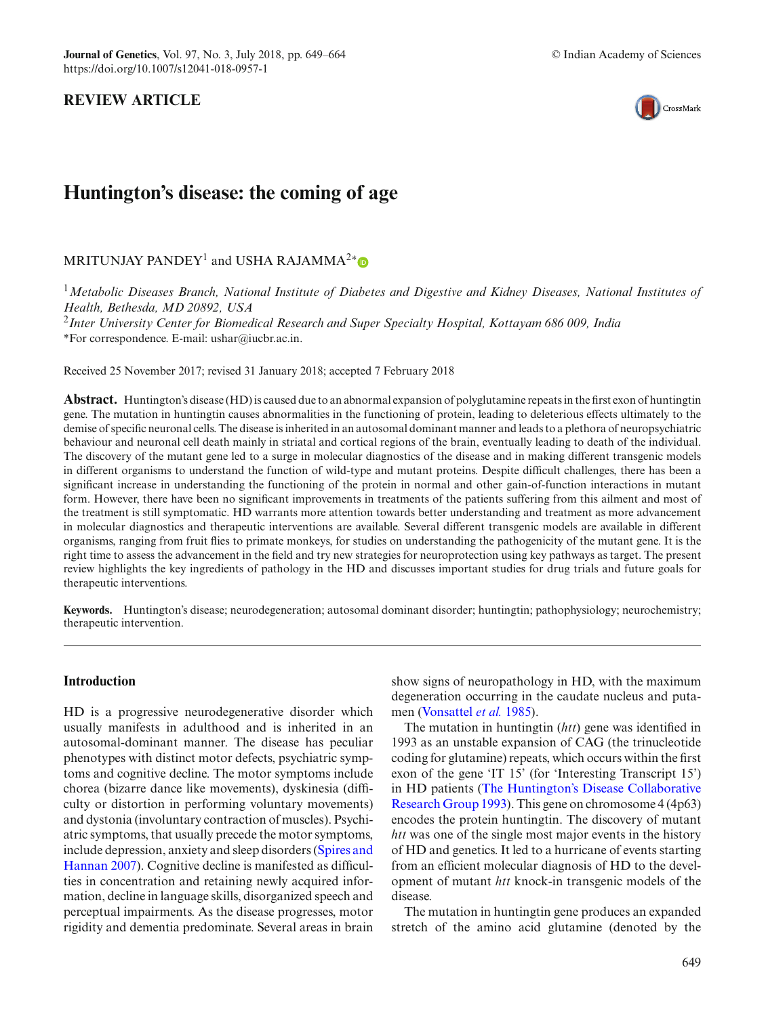

# **Huntington's disease: the coming of age**

MRITUNJAY PANDEY<sup>1</sup> and USHA RAJAMMA<sup>2</sup>\*®

<sup>1</sup>*Metabolic Diseases Branch, National Institute of Diabetes and Digestive and Kidney Diseases, National Institutes of Health, Bethesda, MD 20892, USA*

<sup>2</sup>*Inter University Center for Biomedical Research and Super Specialty Hospital, Kottayam 686 009, India* \*For correspondence. E-mail: ushar@iucbr.ac.in.

Received 25 November 2017; revised 31 January 2018; accepted 7 February 2018

**Abstract.** Huntington's disease (HD) is caused due to an abnormal expansion of polyglutamine repeats in the first exon of huntingtin gene. The mutation in huntingtin causes abnormalities in the functioning of protein, leading to deleterious effects ultimately to the demise of specific neuronal cells. The disease is inherited in an autosomal dominant manner and leads to a plethora of neuropsychiatric behaviour and neuronal cell death mainly in striatal and cortical regions of the brain, eventually leading to death of the individual. The discovery of the mutant gene led to a surge in molecular diagnostics of the disease and in making different transgenic models in different organisms to understand the function of wild-type and mutant proteins. Despite difficult challenges, there has been a significant increase in understanding the functioning of the protein in normal and other gain-of-function interactions in mutant form. However, there have been no significant improvements in treatments of the patients suffering from this ailment and most of the treatment is still symptomatic. HD warrants more attention towards better understanding and treatment as more advancement in molecular diagnostics and therapeutic interventions are available. Several different transgenic models are available in different organisms, ranging from fruit flies to primate monkeys, for studies on understanding the pathogenicity of the mutant gene. It is the right time to assess the advancement in the field and try new strategies for neuroprotection using key pathways as target. The present review highlights the key ingredients of pathology in the HD and discusses important studies for drug trials and future goals for therapeutic interventions.

**Keywords.** Huntington's disease; neurodegeneration; autosomal dominant disorder; huntingtin; pathophysiology; neurochemistry; therapeutic intervention.

# **Introduction**

HD is a progressive neurodegenerative disorder which usually manifests in adulthood and is inherited in an autosomal-dominant manner. The disease has peculiar phenotypes with distinct motor defects, psychiatric symptoms and cognitive decline. The motor symptoms include chorea (bizarre dance like movements), dyskinesia (difficulty or distortion in performing voluntary movements) and dystonia (involuntary contraction of muscles). Psychiatric symptoms, that usually precede the motor symptoms, include [depression,](#page-14-0) [anxiety](#page-14-0) [and](#page-14-0) [sleep](#page-14-0) [disorders](#page-14-0) [\(](#page-14-0)Spires and Hannan [2007](#page-14-0)). Cognitive decline is manifested as difficulties in concentration and retaining newly acquired information, decline in language skills, disorganized speech and perceptual impairments. As the disease progresses, motor rigidity and dementia predominate. Several areas in brain show signs of neuropathology in HD, with the maximum degeneration occurring in the caudate nucleus and putamen [\(Vonsattel](#page-15-0) *et al.* [1985](#page-15-0)).

The mutation in huntingtin (*htt*) gene was identified in 1993 as an unstable expansion of CAG (the trinucleotide coding for glutamine) repeats, which occurs within the first exon of the gene 'IT 15' (for 'Interesting Transcript 15') in HD patients [\(](#page-15-1)The Huntington's Disease Collaborative Research Group [1993](#page-15-1)). This gene on chromosome 4 (4p63) encodes the protein huntingtin. The discovery of mutant *htt* was one of the single most major events in the history of HD and genetics. It led to a hurricane of events starting from an efficient molecular diagnosis of HD to the development of mutant *htt* knock-in transgenic models of the disease.

The mutation in huntingtin gene produces an expanded stretch of the amino acid glutamine (denoted by the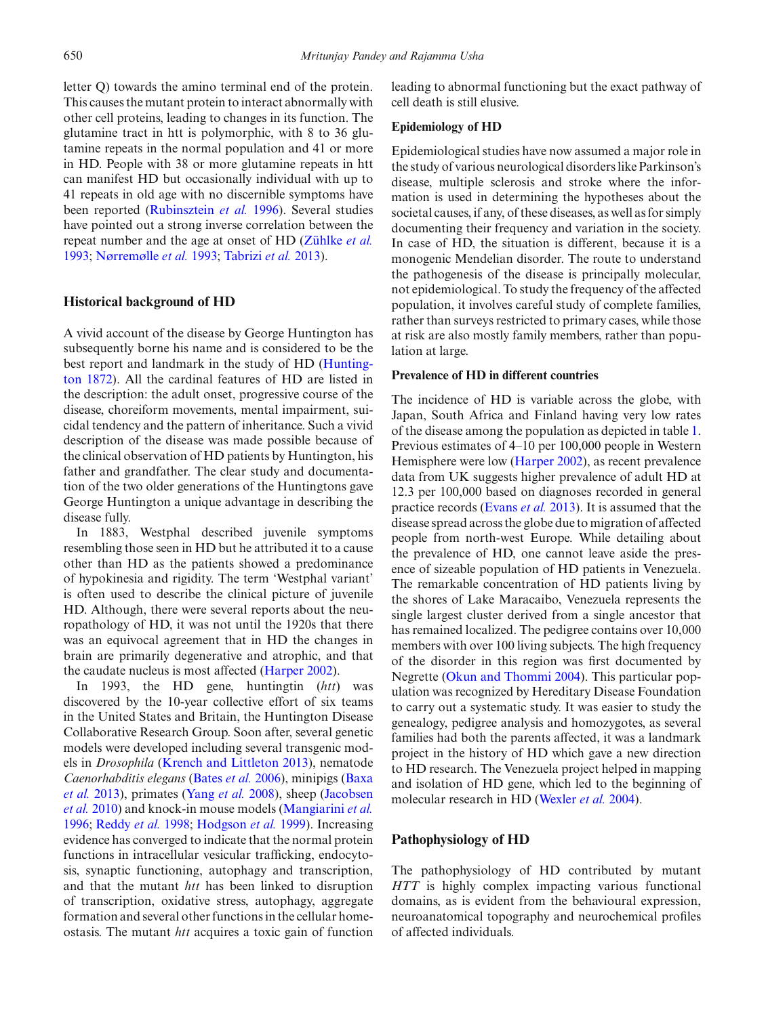letter Q) towards the amino terminal end of the protein. This causes the mutant protein to interact abnormally with other cell proteins, leading to changes in its function. The glutamine tract in htt is polymorphic, with 8 to 36 glutamine repeats in the normal population and 41 or more in HD. People with 38 or more glutamine repeats in htt can manifest HD but occasionally individual with up to 41 repeats in old age with no discernible symptoms have been reported [\(Rubinsztein](#page-14-1) *et al.* [1996\)](#page-14-1). Several studies have pointed out a strong inverse correlation between the repeat number and the age at onset of HD [\(Zühlke](#page-15-2) *et al.* [1993](#page-15-2); [Nørremølle](#page-13-0) *et al.* [1993;](#page-13-0) [Tabrizi](#page-14-2) *et al.* [2013](#page-14-2)).

# **Historical background of HD**

A vivid account of the disease by George Huntington has subsequently borne his name and is considered to be the bes[t](#page-12-0) [report](#page-12-0) [and](#page-12-0) [landmark](#page-12-0) [in](#page-12-0) [the](#page-12-0) [study](#page-12-0) [of](#page-12-0) [HD](#page-12-0) [\(](#page-12-0)Huntington [1872](#page-12-0)). All the cardinal features of HD are listed in the description: the adult onset, progressive course of the disease, choreiform movements, mental impairment, suicidal tendency and the pattern of inheritance. Such a vivid description of the disease was made possible because of the clinical observation of HD patients by Huntington, his father and grandfather. The clear study and documentation of the two older generations of the Huntingtons gave George Huntington a unique advantage in describing the disease fully.

In 1883, Westphal described juvenile symptoms resembling those seen in HD but he attributed it to a cause other than HD as the patients showed a predominance of hypokinesia and rigidity. The term 'Westphal variant' is often used to describe the clinical picture of juvenile HD. Although, there were several reports about the neuropathology of HD, it was not until the 1920s that there was an equivocal agreement that in HD the changes in brain are primarily degenerative and atrophic, and that the caudate nucleus is most affected [\(Harper 2002\)](#page-12-1).

In 1993, the HD gene, huntingtin (*htt*) was discovered by the 10-year collective effort of six teams in the United States and Britain, the Huntington Disease Collaborative Research Group. Soon after, several genetic models were developed including several transgenic models in *Drosophila* [\(Krench and Littleton 2013\)](#page-13-1), nematode *Cae[norhabditis](#page-10-1) [elegans](#page-10-1)* [\(Bates](#page-10-0) *et al.* [2006](#page-10-0)), minipigs (Baxa *et al.* [2013](#page-10-1)[\),](#page-12-2) [primates](#page-12-2) [\(Yang](#page-15-3) *et al.* [2008\)](#page-15-3), sheep (Jacobsen *et al.* [2010\)](#page-12-2) and knock-in mouse models [\(Mangiarini](#page-13-2) *et al.* [1996](#page-13-2); [Reddy](#page-14-3) *et al.* [1998;](#page-14-3) [Hodgson](#page-12-3) *et al.* [1999\)](#page-12-3). Increasing evidence has converged to indicate that the normal protein functions in intracellular vesicular trafficking, endocytosis, synaptic functioning, autophagy and transcription, and that the mutant *htt* has been linked to disruption of transcription, oxidative stress, autophagy, aggregate formation and several other functions in the cellular homeostasis. The mutant *htt* acquires a toxic gain of function leading to abnormal functioning but the exact pathway of cell death is still elusive.

## **Epidemiology of HD**

Epidemiological studies have now assumed a major role in the study of various neurological disorders like Parkinson's disease, multiple sclerosis and stroke where the information is used in determining the hypotheses about the societal causes, if any, of these diseases, as well as for simply documenting their frequency and variation in the society. In case of HD, the situation is different, because it is a monogenic Mendelian disorder. The route to understand the pathogenesis of the disease is principally molecular, not epidemiological. To study the frequency of the affected population, it involves careful study of complete families, rather than surveys restricted to primary cases, while those at risk are also mostly family members, rather than population at large.

# **Prevalence of HD in different countries**

The incidence of HD is variable across the globe, with Japan, South Africa and Finland having very low rates of the disease among the population as depicted in table [1.](#page-2-0) Previous estimates of 4–10 per 100,000 people in Western Hemisphere were low [\(Harper 2002](#page-12-1)), as recent prevalence data from UK suggests higher prevalence of adult HD at 12.3 per 100,000 based on diagnoses recorded in general practice records [\(Evans](#page-11-0) *et al.* [2013\)](#page-11-0). It is assumed that the disease spread across the globe due to migration of affected people from north-west Europe. While detailing about the prevalence of HD, one cannot leave aside the presence of sizeable population of HD patients in Venezuela. The remarkable concentration of HD patients living by the shores of Lake Maracaibo, Venezuela represents the single largest cluster derived from a single ancestor that has remained localized. The pedigree contains over 10,000 members with over 100 living subjects. The high frequency of the disorder in this region was first documented by Negrette [\(Okun and Thommi 2004](#page-13-3)). This particular population was recognized by Hereditary Disease Foundation to carry out a systematic study. It was easier to study the genealogy, pedigree analysis and homozygotes, as several families had both the parents affected, it was a landmark project in the history of HD which gave a new direction to HD research. The Venezuela project helped in mapping and isolation of HD gene, which led to the beginning of molecular research in HD [\(Wexler](#page-15-4) *et al.* [2004\)](#page-15-4).

# **Pathophysiology of HD**

The pathophysiology of HD contributed by mutant *HTT* is highly complex impacting various functional domains, as is evident from the behavioural expression, neuroanatomical topography and neurochemical profiles of affected individuals.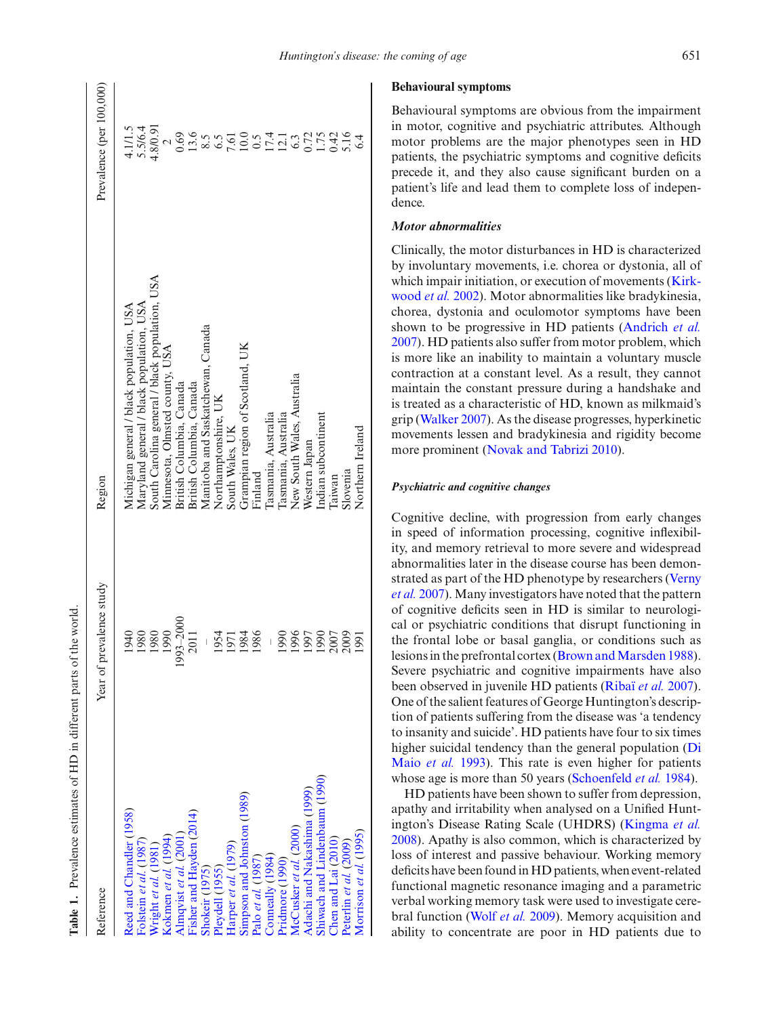| <b>Reference</b>                                                           | Year of prevalence study | Region                                         | Prevalence (per 100,000)                                                                                                                                                                                                                                                                                      |
|----------------------------------------------------------------------------|--------------------------|------------------------------------------------|---------------------------------------------------------------------------------------------------------------------------------------------------------------------------------------------------------------------------------------------------------------------------------------------------------------|
| Reed and Chandler (1958)                                                   | 1940                     | Michigan general / black population, USA       | 4.1/1.5                                                                                                                                                                                                                                                                                                       |
| Folstein et al. (1987)                                                     | 1980                     | Maryland general / black population, USA       | 5.5/6.4                                                                                                                                                                                                                                                                                                       |
| Vright et al. (1981)                                                       | 1980                     | South Carolina general / black population, USA | 4.8/0.91                                                                                                                                                                                                                                                                                                      |
|                                                                            | 1990                     | Minnesota, Olmsted county, USA                 |                                                                                                                                                                                                                                                                                                               |
| Kokmen et al. (1994)<br>Almqvist et al. (2001)<br>Fisher and Hayden (2014) | $93 - 2000$              | British Columbia, Canada                       | $\frac{2}{0.69}$                                                                                                                                                                                                                                                                                              |
|                                                                            | 2011                     | British Columbia, Canada                       | $13.6$<br>$8.5$<br>$7.6$<br>$7.61$                                                                                                                                                                                                                                                                            |
|                                                                            |                          | Manitoba and Saskatchewan, Canada              |                                                                                                                                                                                                                                                                                                               |
| Shokeir (1975)<br>Pleydell (1955)                                          | 1954                     | Northamptonshire, UK                           |                                                                                                                                                                                                                                                                                                               |
|                                                                            | 1971                     | South Wales, UK                                |                                                                                                                                                                                                                                                                                                               |
|                                                                            | 1984                     | Grampian region of Scotland, UK                |                                                                                                                                                                                                                                                                                                               |
| Harper et al. (1979)<br>Simpson and Johnston (1989)<br>Palo et al. (1987)  | 1986                     | Finland                                        | $\begin{array}{c} 0.05 \\ 0.54 \\ 0.71 \\ 0.38 \\ 0.71 \\ 0.07 \\ 0.01 \\ 0.04 \\ 0.04 \\ 0.04 \\ 0.04 \\ 0.04 \\ 0.04 \\ 0.04 \\ 0.04 \\ 0.04 \\ 0.04 \\ 0.04 \\ 0.04 \\ 0.04 \\ 0.04 \\ 0.04 \\ 0.04 \\ 0.04 \\ 0.04 \\ 0.04 \\ 0.04 \\ 0.04 \\ 0.04 \\ 0.04 \\ 0.04 \\ 0.04 \\ 0.04 \\ 0.04 \\ 0.04 \\ 0.$ |
| Conneally (1984)                                                           |                          | lasmania, Australia                            |                                                                                                                                                                                                                                                                                                               |
| pridmore (1990)                                                            | 1990                     | lasmania, Australia                            |                                                                                                                                                                                                                                                                                                               |
| McCusker et al. (2000)                                                     | 1996                     | New South Wales, Australia                     |                                                                                                                                                                                                                                                                                                               |
| Adachi and Nakashima (1999)                                                | 1997                     | Western Japan                                  |                                                                                                                                                                                                                                                                                                               |
| Shiwach and Lindenbaum (1990)                                              | 1990                     | Indian subcontinent                            |                                                                                                                                                                                                                                                                                                               |
| Chen and Lai (2010)                                                        | 2007                     | Taiwan                                         |                                                                                                                                                                                                                                                                                                               |
| Peterlin et al. (2009)                                                     | 2009                     | Slovenia                                       |                                                                                                                                                                                                                                                                                                               |
| Morrison et al. (1995)                                                     | <u>[66]</u>              | Northern Ireland                               |                                                                                                                                                                                                                                                                                                               |
|                                                                            |                          |                                                |                                                                                                                                                                                                                                                                                                               |

**Table 1.** Prevalence estimates of HD in different parts of the world.

Table 1. Prevalence estimates of HD in different parts of the world

#### **Behavioural symptoms**

Behavioural symptoms are obvious from the impairment in motor, cognitive and psychiatric attributes. Although motor problems are the major phenotypes seen in HD patients, the psychiatric symptoms and cognitive deficits precede it, and they also cause significant burden on a patient's life and lead them to complete loss of independence.

# *Motor abnormalities*

Clinically, the motor disturbances in HD is characterized by involuntary movements, i.e. chorea or dystonia, all of which imp[air](#page-12-6) [initiation,](#page-12-6) [or](#page-12-6) [execution](#page-12-6) [of](#page-12-6) [movements](#page-12-6) [\(](#page-12-6)Kirkwood *et al.* [2002\)](#page-12-6). Motor abnormalities like bradykinesia, chorea, dystonia and oculomotor symptoms have been shown to be progressive in HD patients [\(Andrich](#page-10-4) *et al.* [2007](#page-10-4)). HD patients also suffer from motor problem, which is more like an inability to maintain a voluntary muscle contraction at a constant level. As a result, they cannot maintain the constant pressure during a handshake and is treated as a characteristic of HD, known as milkmaid's grip [\(Walker 2007\)](#page-15-6). As the disease progresses, hyperkinetic movements lessen and bradykinesia and rigidity become more prominent [\(Novak and Tabrizi 2010](#page-13-9)).

#### *Psychiatric and cognitive changes*

Cognitive decline, with progression from early changes in speed of information processing, cognitive inflexibility, and memory retrieval to more severe and widespread abnormalities later in the disease course has been demonstrat[ed](#page-15-7) [as](#page-15-7) [part](#page-15-7) [of](#page-15-7) [the](#page-15-7) [HD](#page-15-7) [phenotype](#page-15-7) [by](#page-15-7) [researchers](#page-15-7) [\(](#page-15-7)Verny *et al.* [2007\)](#page-15-7). Many investigators have noted that the pattern of cognitive deficits seen in HD is similar to neurological or psychiatric conditions that disrupt functioning in the frontal lobe or basal ganglia, or conditions such as lesions in the prefrontal cortex (Brown and Marsden 1988). Severe psychiatric and cognitive impairments have also been observed in juvenile HD patients [\(Ribaï](#page-14-9) *et al.* [2007](#page-14-9)). One of the salient features of George Huntington's description of patients suffering from the disease was 'a tendency to insanity and suicide'. HD patients have four to six times higher suici[dal](#page-11-6) [tendency](#page-11-6) [than](#page-11-6) [the](#page-11-6) [general](#page-11-6) [population](#page-11-6) [\(](#page-11-6)Di Maio *et al.* [1993\)](#page-11-6). This rate is even higher for patients whose age is more than 50 years [\(Schoenfeld](#page-14-10) *et al.* [1984](#page-14-10)).

<span id="page-2-0"></span>HD patients have been shown to suffer from depression, apathy and irritability when analysed on a Unified Huntington's Disease Rating Scale (UHDRS) [\(Kingma](#page-12-7) *et al.* [2008](#page-12-7)). Apathy is also common, which is characterized by loss of interest and passive behaviour. Working memory deficits have been found in HD patients, when event-related functional magnetic resonance imaging and a parametric verbal working memory task were used to investigate cerebral function [\(Wolf](#page-15-8) *et al.* [2009](#page-15-8)). Memory acquisition and ability to concentrate are poor in HD patients due to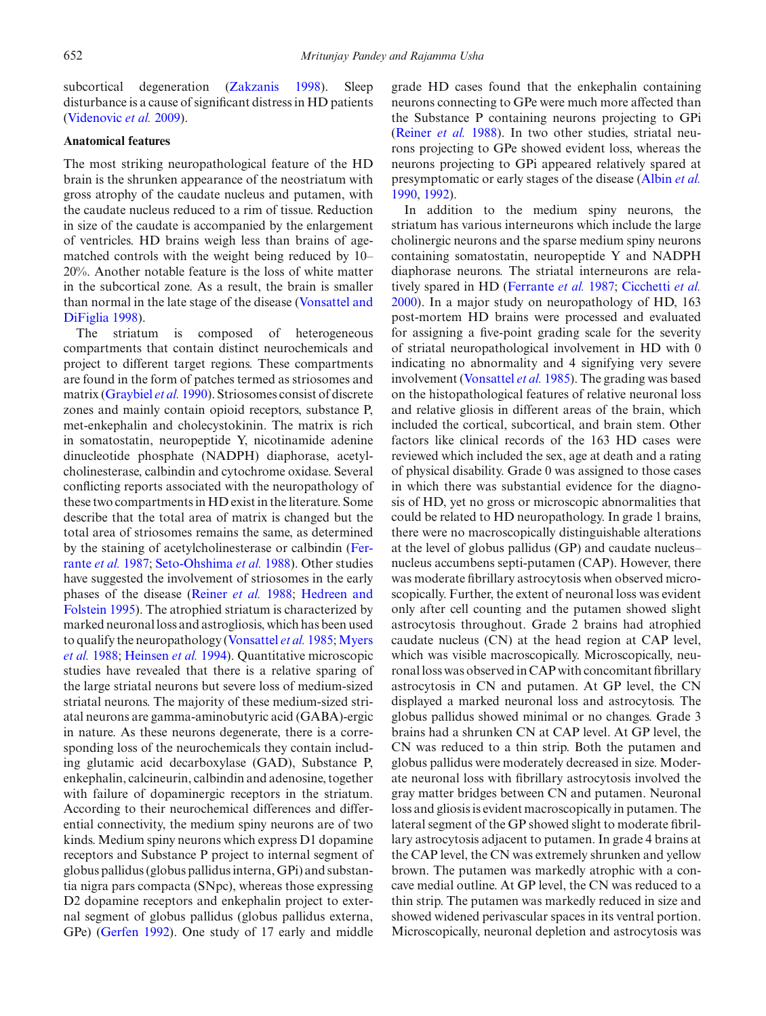subcortical degeneration [\(Zakzanis 1998](#page-15-9)). Sleep disturbance is a cause of significant distress in HD patients [\(Videnovic](#page-15-10) *et al.* [2009](#page-15-10)).

## **Anatomical features**

The most striking neuropathological feature of the HD brain is the shrunken appearance of the neostriatum with gross atrophy of the caudate nucleus and putamen, with the caudate nucleus reduced to a rim of tissue. Reduction in size of the caudate is accompanied by the enlargement of ventricles. HD brains weigh less than brains of agematched controls with the weight being reduced by 10– 20%. Another notable feature is the loss of white matter in the subcortical zone. As a result, the brain is smaller than no[rmal](#page-15-11) [in](#page-15-11) [the](#page-15-11) [late](#page-15-11) [stage](#page-15-11) [of](#page-15-11) [the](#page-15-11) [disease](#page-15-11) [\(](#page-15-11)Vonsattel and DiFiglia [1998](#page-15-11)).

The striatum is composed of heterogeneous compartments that contain distinct neurochemicals and project to different target regions. These compartments are found in the form of patches termed as striosomes and matrix [\(Graybiel](#page-12-8) *et al.* [1990](#page-12-8)). Striosomes consist of discrete zones and mainly contain opioid receptors, substance P, met-enkephalin and cholecystokinin. The matrix is rich in somatostatin, neuropeptide Y, nicotinamide adenine dinucleotide phosphate (NADPH) diaphorase, acetylcholinesterase, calbindin and cytochrome oxidase. Several conflicting reports associated with the neuropathology of these two compartments in HD exist in the literature. Some describe that the total area of matrix is changed but the total area of striosomes remains the same, as determined by the stai[ning](#page-11-7) [of](#page-11-7) [acetylcholinesterase](#page-11-7) [or](#page-11-7) [calbindin](#page-11-7) [\(](#page-11-7)Ferrante *et al.* [1987;](#page-11-7) [Seto-Ohshima](#page-14-11) *et al.* [1988](#page-14-11)). Other studies have suggested the involvement of striosomes in the early phases [of](#page-12-9) [the](#page-12-9) [disease](#page-12-9) [\(Reiner](#page-14-12) *et al.* [1988](#page-14-12); Hedreen and Folstein [1995](#page-12-9)). The atrophied striatum is characterized by marked neuronal loss and astrogliosis, which has been used to q[ualify](#page-13-10) [the](#page-13-10) [neuropathology](#page-13-10) [\(Vonsattel](#page-15-0) *et al.* [1985](#page-15-0); Myers *et al.* [1988;](#page-13-10) [Heinsen](#page-12-10) *et al.* [1994](#page-12-10)). Quantitative microscopic studies have revealed that there is a relative sparing of the large striatal neurons but severe loss of medium-sized striatal neurons. The majority of these medium-sized striatal neurons are gamma-aminobutyric acid (GABA)-ergic in nature. As these neurons degenerate, there is a corresponding loss of the neurochemicals they contain including glutamic acid decarboxylase (GAD), Substance P, enkephalin, calcineurin, calbindin and adenosine, together with failure of dopaminergic receptors in the striatum. According to their neurochemical differences and differential connectivity, the medium spiny neurons are of two kinds. Medium spiny neurons which express D1 dopamine receptors and Substance P project to internal segment of globus pallidus (globus pallidus interna, GPi) and substantia nigra pars compacta (SNpc), whereas those expressing D2 dopamine receptors and enkephalin project to external segment of globus pallidus (globus pallidus externa, GPe) [\(Gerfen 1992\)](#page-12-11). One study of 17 early and middle grade HD cases found that the enkephalin containing neurons connecting to GPe were much more affected than the Substance P containing neurons projecting to GPi [\(Reiner](#page-14-12) *et al.* [1988\)](#page-14-12). In two other studies, striatal neurons projecting to GPe showed evident loss, whereas the neurons projecting to GPi appeared relatively spared at presymptomatic or early stages of the disease [\(Albin](#page-10-5) *et al.* [1990](#page-10-5), [1992](#page-10-6)).

In addition to the medium spiny neurons, the striatum has various interneurons which include the large cholinergic neurons and the sparse medium spiny neurons containing somatostatin, neuropeptide Y and NADPH diaphorase neurons. The striatal interneurons are relatively spared in HD [\(Ferrante](#page-11-7) *et al.* [1987;](#page-11-7) [Cicchetti](#page-11-8) *et al.* [2000](#page-11-8)). In a major study on neuropathology of HD, 163 post-mortem HD brains were processed and evaluated for assigning a five-point grading scale for the severity of striatal neuropathological involvement in HD with 0 indicating no abnormality and 4 signifying very severe involvement [\(Vonsattel](#page-15-0) *et al.* [1985](#page-15-0)). The grading was based on the histopathological features of relative neuronal loss and relative gliosis in different areas of the brain, which included the cortical, subcortical, and brain stem. Other factors like clinical records of the 163 HD cases were reviewed which included the sex, age at death and a rating of physical disability. Grade 0 was assigned to those cases in which there was substantial evidence for the diagnosis of HD, yet no gross or microscopic abnormalities that could be related to HD neuropathology. In grade 1 brains, there were no macroscopically distinguishable alterations at the level of globus pallidus (GP) and caudate nucleus– nucleus accumbens septi-putamen (CAP). However, there was moderate fibrillary astrocytosis when observed microscopically. Further, the extent of neuronal loss was evident only after cell counting and the putamen showed slight astrocytosis throughout. Grade 2 brains had atrophied caudate nucleus (CN) at the head region at CAP level, which was visible macroscopically. Microscopically, neuronal loss was observed in CAP with concomitant fibrillary astrocytosis in CN and putamen. At GP level, the CN displayed a marked neuronal loss and astrocytosis. The globus pallidus showed minimal or no changes. Grade 3 brains had a shrunken CN at CAP level. At GP level, the CN was reduced to a thin strip. Both the putamen and globus pallidus were moderately decreased in size. Moderate neuronal loss with fibrillary astrocytosis involved the gray matter bridges between CN and putamen. Neuronal loss and gliosis is evident macroscopically in putamen. The lateral segment of the GP showed slight to moderate fibrillary astrocytosis adjacent to putamen. In grade 4 brains at the CAP level, the CN was extremely shrunken and yellow brown. The putamen was markedly atrophic with a concave medial outline. At GP level, the CN was reduced to a thin strip. The putamen was markedly reduced in size and showed widened perivascular spaces in its ventral portion. Microscopically, neuronal depletion and astrocytosis was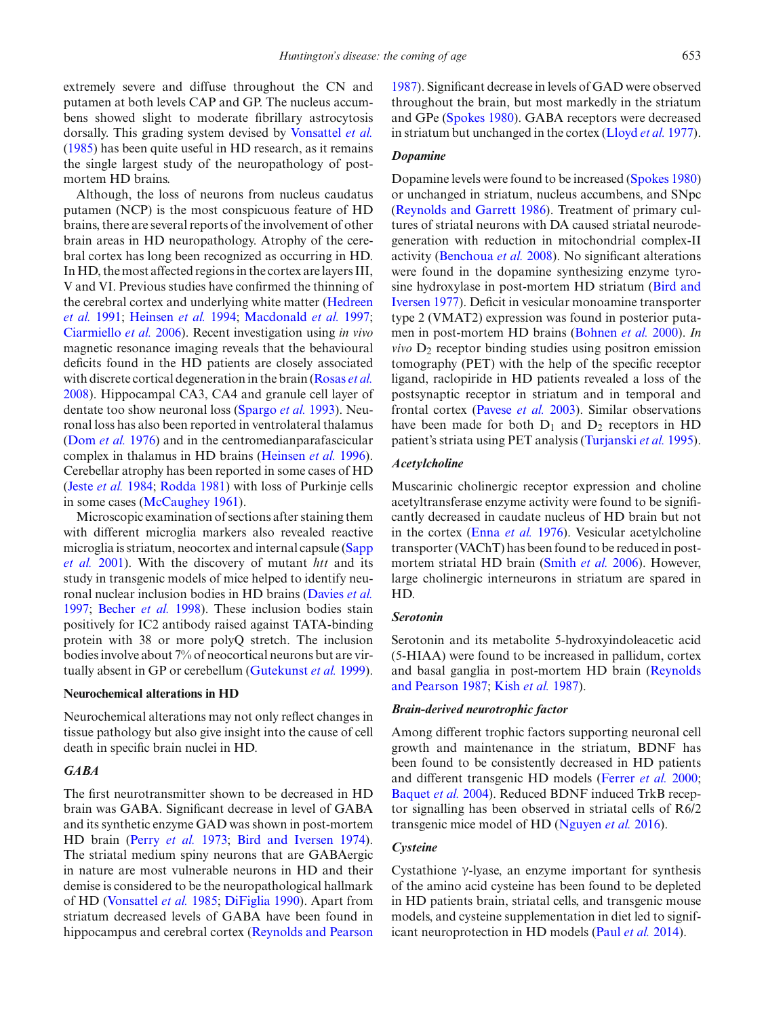extremely severe and diffuse throughout the CN and putamen at both levels CAP and GP. The nucleus accumbens showed slight to moderate fibrillary astrocytosis dorsally. This grading system devised by [Vonsattel](#page-15-0) *et al.* [\(1985\)](#page-15-0) has been quite useful in HD research, as it remains the single largest study of the neuropathology of postmortem HD brains.

Although, the loss of neurons from nucleus caudatus putamen (NCP) is the most conspicuous feature of HD brains, there are several reports of the involvement of other brain areas in HD neuropathology. Atrophy of the cerebral cortex has long been recognized as occurring in HD. In HD, the most affected regions in the cortex are layers III, V and VI. Previous studies have confirmed the thinning of the c[erebral](#page-12-12) [cortex](#page-12-12) [and](#page-12-12) [underlying](#page-12-12) [white](#page-12-12) [matter](#page-12-12) [\(](#page-12-12)Hedreen *et al.* [1991](#page-12-12); [Heinsen](#page-12-10) *et al.* [1994;](#page-12-10) [Macdonald](#page-13-11) *et al.* [1997;](#page-13-11) [Ciarmiello](#page-11-9) *et al.* [2006\)](#page-11-9). Recent investigation using *in vivo* magnetic resonance imaging reveals that the behavioural deficits found in the HD patients are closely associated with discrete cortical degeneration in the brain [\(Rosas](#page-14-13) *et al.* [2008](#page-14-13)). Hippocampal CA3, CA4 and granule cell layer of dentate too show neuronal loss [\(Spargo](#page-14-14) *et al.* [1993](#page-14-14)). Neuronal loss has also been reported in ventrolateral thalamus [\(Dom](#page-11-10) *et al.* [1976\)](#page-11-10) and in the centromedianparafascicular complex in thalamus in HD brains [\(Heinsen](#page-12-13) *et al.* [1996](#page-12-13)). Cerebellar atrophy has been reported in some cases of HD (Jeste *[et al.](#page-12-14)* [1984;](#page-12-14) [Rodda 1981](#page-14-15)) with loss of Purkinje cells in some cases [\(McCaughey 1961\)](#page-13-12).

Microscopic examination of sections after staining them with different microglia markers also revealed reactive micr[oglia](#page-14-16) [is](#page-14-16) [striatum,](#page-14-16) [neocortex](#page-14-16) [and](#page-14-16) [internal](#page-14-16) [capsule](#page-14-16) [\(](#page-14-16)Sapp *et al.* [2001\)](#page-14-16). With the discovery of mutant *htt* and its study in transgenic models of mice helped to identify neuronal nuclear inclusion bodies in HD brains [\(Davies](#page-11-11) *et al.* [1997](#page-11-11); [Becher](#page-11-12) *et al.* [1998](#page-11-12)). These inclusion bodies stain positively for IC2 antibody raised against TATA-binding protein with 38 or more polyQ stretch. The inclusion bodies involve about 7% of neocortical neurons but are virtually absent in GP or cerebellum [\(Gutekunst](#page-12-15) *et al.* [1999](#page-12-15)).

## **Neurochemical alterations in HD**

Neurochemical alterations may not only reflect changes in tissue pathology but also give insight into the cause of cell death in specific brain nuclei in HD.

# *GABA*

The first neurotransmitter shown to be decreased in HD brain was GABA. Significant decrease in level of GABA and its synthetic enzyme GAD was shown in post-mortem HD brain [\(Perry](#page-13-13) *et al.* [1973;](#page-13-13) [Bird and Iversen 1974](#page-11-13)). The striatal medium spiny neurons that are GABAergic in nature are most vulnerable neurons in HD and their demise is considered to be the neuropathological hallmark of HD [\(Vonsattel](#page-15-0) *et al.* [1985](#page-15-0); [DiFiglia 1990](#page-11-14)). Apart from striatum decreased levels of GABA have been found in hippocampus and cerebral cortex [\(Reynolds and Pearson](#page-14-17)

[1987](#page-14-17)). Significant decrease in levels of GAD were observed throughout the brain, but most markedly in the striatum and GPe [\(Spokes 1980\)](#page-14-18). GABA receptors were decreased in striatum but unchanged in the cortex [\(Lloyd](#page-13-14) *et al.* [1977](#page-13-14)).

# *Dopamine*

Dopamine levels were found to be increased [\(Spokes 1980](#page-14-18)) or unchanged in striatum, nucleus accumbens, and SNpc [\(Reynolds and Garrett 1986\)](#page-14-19). Treatment of primary cultures of striatal neurons with DA caused striatal neurodegeneration with reduction in mitochondrial complex-II activity [\(Benchoua](#page-11-15) *et al.* [2008\)](#page-11-15). No significant alterations were found in the dopamine synthesizing enzyme tyrosine hy[droxylase](#page-11-16) [in](#page-11-16) [post-mortem](#page-11-16) [HD](#page-11-16) [striatum](#page-11-16) [\(](#page-11-16)Bird and Iversen [1977](#page-11-16)). Deficit in vesicular monoamine transporter type 2 (VMAT2) expression was found in posterior putamen in post-mortem HD brains [\(Bohnen](#page-11-17) *et al.* [2000](#page-11-17)). *In vivo*  $D_2$  receptor binding studies using positron emission tomography (PET) with the help of the specific receptor ligand, raclopiride in HD patients revealed a loss of the postsynaptic receptor in striatum and in temporal and frontal cortex [\(Pavese](#page-13-15) *et al.* [2003\)](#page-13-15). Similar observations have been made for both  $D_1$  and  $D_2$  receptors in HD patient's striata using PET analysis [\(Turjanski](#page-15-12) *et al.* [1995](#page-15-12)).

## *Acetylcholine*

Muscarinic cholinergic receptor expression and choline acetyltransferase enzyme activity were found to be significantly decreased in caudate nucleus of HD brain but not in the cortex [\(Enna](#page-11-18) *et al.* [1976](#page-11-18)). Vesicular acetylcholine transporter (VAChT) has been found to be reduced in postmortem striatal HD brain [\(Smith](#page-14-20) *et al.* [2006](#page-14-20)). However, large cholinergic interneurons in striatum are spared in HD.

# *Serotonin*

Serotonin and its metabolite 5-hydroxyindoleacetic acid (5-HIAA) were found to be increased in pallidum, cortex and basal g[anglia](#page-14-17) [in](#page-14-17) [post-mortem](#page-14-17) [HD](#page-14-17) [brain](#page-14-17) [\(](#page-14-17)Reynolds and Pearson [1987](#page-14-17); Kish *[et al.](#page-12-16)* [1987](#page-12-16)).

#### *Brain-derived neurotrophic factor*

Among different trophic factors supporting neuronal cell growth and maintenance in the striatum, BDNF has been found to be consistently decreased in HD patients and different transgenic HD models [\(Ferrer](#page-11-19) *et al.* [2000;](#page-11-19) [Baquet](#page-10-7) *et al.* [2004](#page-10-7)). Reduced BDNF induced TrkB receptor signalling has been observed in striatal cells of R6/2 transgenic mice model of HD [\(Nguyen](#page-13-16) *et al.* [2016\)](#page-13-16).

# *Cysteine*

Cystathione γ-lyase, an enzyme important for synthesis of the amino acid cysteine has been found to be depleted in HD patients brain, striatal cells, and transgenic mouse models, and cysteine supplementation in diet led to significant neuroprotection in HD models (Paul *[et al.](#page-13-17)* [2014](#page-13-17)).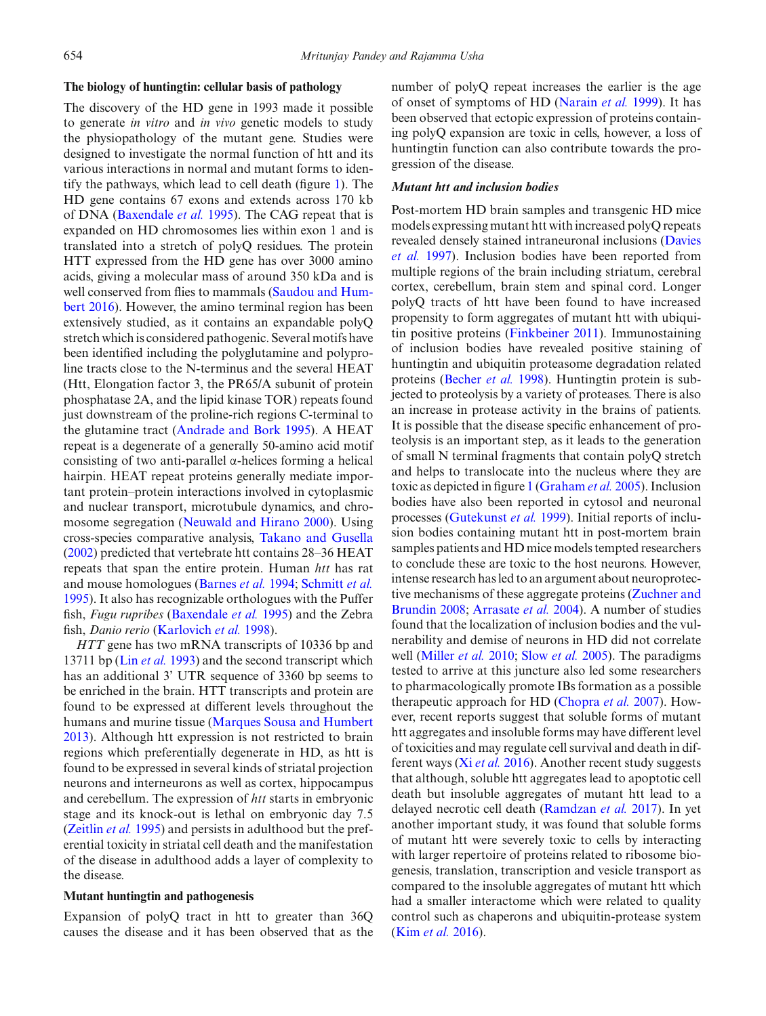#### **The biology of huntingtin: cellular basis of pathology**

The discovery of the HD gene in 1993 made it possible to generate *in vitro* and *in vivo* genetic models to study the physiopathology of the mutant gene. Studies were designed to investigate the normal function of htt and its various interactions in normal and mutant forms to identify the pathways, which lead to cell death (figure [1\)](#page-6-0). The HD gene contains 67 exons and extends across 170 kb of DNA [\(Baxendale](#page-11-20) *et al.* [1995\)](#page-11-20). The CAG repeat that is expanded on HD chromosomes lies within exon 1 and is translated into a stretch of polyQ residues. The protein HTT expressed from the HD gene has over 3000 amino acids, giving a molecular mass of around 350 kDa and is we[l](#page-14-21)l [conserved](#page-14-21) [from](#page-14-21) [flies](#page-14-21) [to](#page-14-21) [mammals](#page-14-21) [\(](#page-14-21)Saudou and Humbert [2016\)](#page-14-21). However, the amino terminal region has been extensively studied, as it contains an expandable polyQ stretch which is considered pathogenic. Several motifs have been identified including the polyglutamine and polyproline tracts close to the N-terminus and the several HEAT (Htt, Elongation factor 3, the PR65/A subunit of protein phosphatase 2A, and the lipid kinase TOR) repeats found just downstream of the proline-rich regions C-terminal to the glutamine tract [\(Andrade and Bork 1995\)](#page-10-8). A HEAT repeat is a degenerate of a generally 50-amino acid motif consisting of two anti-parallel α-helices forming a helical hairpin. HEAT repeat proteins generally mediate important protein–protein interactions involved in cytoplasmic and nuclear transport, microtubule dynamics, and chromosome segregation [\(Neuwald and Hirano 2000](#page-13-18)). Using cross-species comparative analysis, [Takano and Gusella](#page-14-22) [\(2002\)](#page-14-22) predicted that vertebrate htt contains 28–36 HEAT repeats that span the entire protein. Human *htt* has rat and mouse homologues [\(Barnes](#page-10-9) *et al.* [1994](#page-10-9); [Schmitt](#page-14-23) *et al.* [1995](#page-14-23)). It also has recognizable orthologues with the Puffer fish, *Fugu rupribes* [\(Baxendale](#page-11-20) *et al.* [1995\)](#page-11-20) and the Zebra fish, *Danio rerio* [\(Karlovich](#page-12-17) *et al.* [1998](#page-12-17)).

*HTT* gene has two mRNA transcripts of 10336 bp and 13711 bp (Lin *[et al.](#page-13-19)* [1993\)](#page-13-19) and the second transcript which has an additional 3' UTR sequence of 3360 bp seems to be enriched in the brain. HTT transcripts and protein are found to be expressed at different levels throughout the humans and murine tissue [\(Marques Sousa and Humbert](#page-13-20) [2013](#page-13-20)). Although htt expression is not restricted to brain regions which preferentially degenerate in HD, as htt is found to be expressed in several kinds of striatal projection neurons and interneurons as well as cortex, hippocampus and cerebellum. The expression of *htt* starts in embryonic stage and its knock-out is lethal on embryonic day 7.5 [\(Zeitlin](#page-15-13) *et al.* [1995](#page-15-13)) and persists in adulthood but the preferential toxicity in striatal cell death and the manifestation of the disease in adulthood adds a layer of complexity to the disease.

# **Mutant huntingtin and pathogenesis**

Expansion of polyQ tract in htt to greater than 36Q causes the disease and it has been observed that as the number of polyQ repeat increases the earlier is the age of onset of symptoms of HD [\(Narain](#page-13-21) *et al.* [1999\)](#page-13-21). It has been observed that ectopic expression of proteins containing polyQ expansion are toxic in cells, however, a loss of huntingtin function can also contribute towards the progression of the disease.

# *Mutant htt and inclusion bodies*

Post-mortem HD brain samples and transgenic HD mice models expressing mutant htt with increased polyQ repeats revea[led](#page-11-11) [densely](#page-11-11) [stained](#page-11-11) [intraneuronal](#page-11-11) [inclusions](#page-11-11) [\(](#page-11-11)Davies *et al.* [1997](#page-11-11)). Inclusion bodies have been reported from multiple regions of the brain including striatum, cerebral cortex, cerebellum, brain stem and spinal cord. Longer polyQ tracts of htt have been found to have increased propensity to form aggregates of mutant htt with ubiquitin positive proteins [\(Finkbeiner 2011\)](#page-11-21). Immunostaining of inclusion bodies have revealed positive staining of huntingtin and ubiquitin proteasome degradation related proteins [\(Becher](#page-11-12) *et al.* [1998](#page-11-12)). Huntingtin protein is subjected to proteolysis by a variety of proteases. There is also an increase in protease activity in the brains of patients. It is possible that the disease specific enhancement of proteolysis is an important step, as it leads to the generation of small N terminal fragments that contain polyQ stretch and helps to translocate into the nucleus where they are toxic as depicted in figure [1](#page-6-0) [\(Graham](#page-12-18) *et al.* [2005](#page-12-18)). Inclusion bodies have also been reported in cytosol and neuronal processes [\(Gutekunst](#page-12-15) *et al.* [1999](#page-12-15)). Initial reports of inclusion bodies containing mutant htt in post-mortem brain samples patients and HD mice models tempted researchers to conclude these are toxic to the host neurons. However, intense research has led to an argument about neuroprotective mec[hanisms](#page-15-14) [of](#page-15-14) [these](#page-15-14) [aggregate](#page-15-14) [proteins](#page-15-14) [\(](#page-15-14)Zuchner and Brundin [2008](#page-15-14); [Arrasate](#page-10-10) *et al.* [2004](#page-10-10)). A number of studies found that the localization of inclusion bodies and the vulnerability and demise of neurons in HD did not correlate well [\(Miller](#page-13-22) *et al.* [2010](#page-13-22); Slow *[et al.](#page-14-24)* [2005\)](#page-14-24). The paradigms tested to arrive at this juncture also led some researchers to pharmacologically promote IBs formation as a possible therapeutic approach for HD [\(Chopra](#page-11-22) *et al.* [2007\)](#page-11-22). However, recent reports suggest that soluble forms of mutant htt aggregates and insoluble forms may have different level of toxicities and may regulate cell survival and death in different ways (Xi *[et al.](#page-15-15)* [2016\)](#page-15-15). Another recent study suggests that although, soluble htt aggregates lead to apoptotic cell death but insoluble aggregates of mutant htt lead to a delayed necrotic cell death [\(Ramdzan](#page-14-25) *et al.* [2017](#page-14-25)). In yet another important study, it was found that soluble forms of mutant htt were severely toxic to cells by interacting with larger repertoire of proteins related to ribosome biogenesis, translation, transcription and vesicle transport as compared to the insoluble aggregates of mutant htt which had a smaller interactome which were related to quality control such as chaperons and ubiquitin-protease system (Kim *[et al.](#page-12-19)* [2016](#page-12-19)).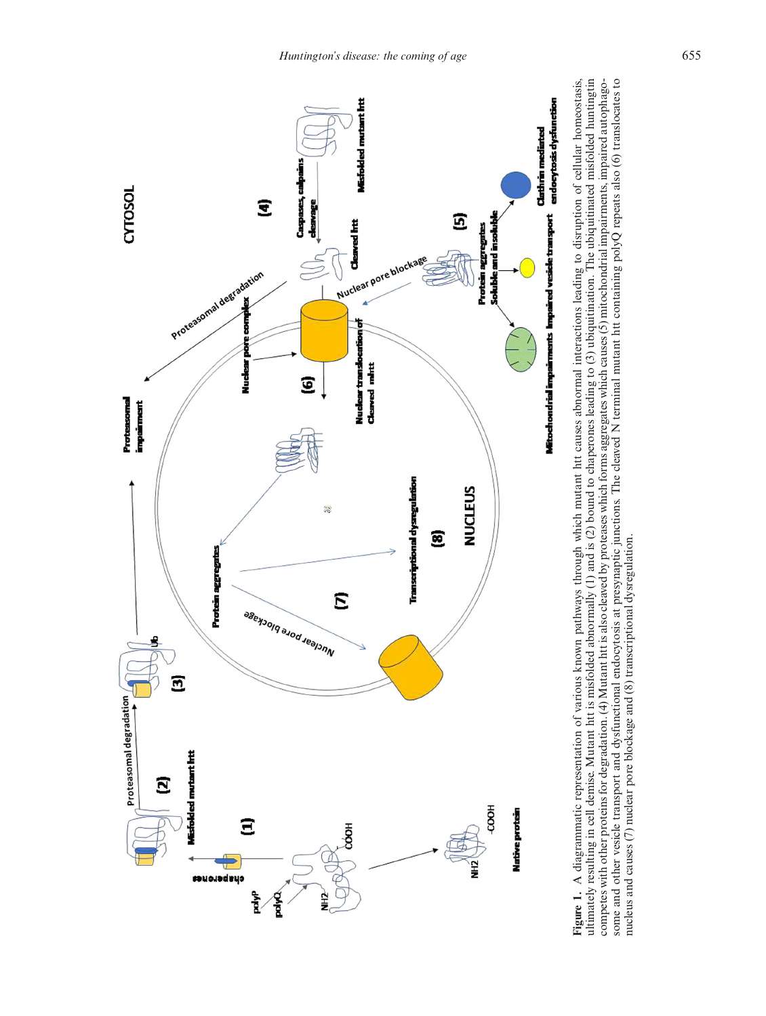

<span id="page-6-0"></span>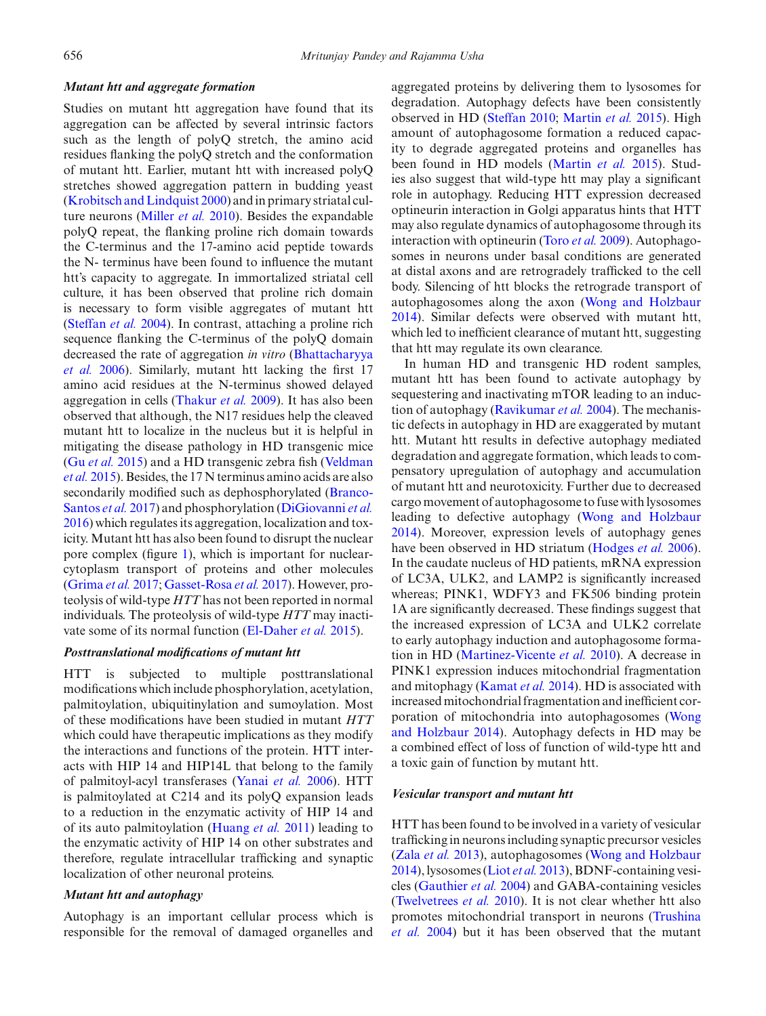#### *Mutant htt and aggregate formation*

Studies on mutant htt aggregation have found that its aggregation can be affected by several intrinsic factors such as the length of polyQ stretch, the amino acid residues flanking the polyQ stretch and the conformation of mutant htt. Earlier, mutant htt with increased polyQ stretches showed aggregation pattern in budding yeast [\(Krobitsch and Lindquist 2000](#page-13-23)) and in primary striatal culture neurons [\(Miller](#page-13-22) *et al.* [2010\)](#page-13-22). Besides the expandable polyQ repeat, the flanking proline rich domain towards the C-terminus and the 17-amino acid peptide towards the N- terminus have been found to influence the mutant htt's capacity to aggregate. In immortalized striatal cell culture, it has been observed that proline rich domain is necessary to form visible aggregates of mutant htt [\(Steffan](#page-14-26) *et al.* [2004](#page-14-26)). In contrast, attaching a proline rich sequence flanking the C-terminus of the polyQ domain decre[ased](#page-11-23) [the](#page-11-23) [rate](#page-11-23) [of](#page-11-23) [aggregation](#page-11-23) *in vitro* (Bhattacharyya *et al.* [2006](#page-11-23)). Similarly, mutant htt lacking the first 17 amino acid residues at the N-terminus showed delayed aggregation in cells [\(Thakur](#page-14-27) *et al.* [2009\)](#page-14-27). It has also been observed that although, the N17 residues help the cleaved mutant htt to localize in the nucleus but it is helpful in mitigating the disease pathology in HD transgenic mice (Gu *[et al.](#page-12-20)* [2015](#page-12-20)[\)](#page-15-16) [and](#page-15-16) [a](#page-15-16) [HD](#page-15-16) [transgenic](#page-15-16) [zebra](#page-15-16) [fish](#page-15-16) [\(](#page-15-16)Veldman *et al.* [2015](#page-15-16)). Besides, the 17 N terminus amino acids are also secondarily [modified](#page-11-24) [such](#page-11-24) [as](#page-11-24) [dephosphorylated](#page-11-24) [\(](#page-11-24)Branco-Santos *et al.* [2017\)](#page-11-24) and phosphorylation [\(DiGiovanni](#page-11-25) *et al.* [2016](#page-11-25)) which regulates its aggregation, localization and toxicity. Mutant htt has also been found to disrupt the nuclear pore complex (figure [1\)](#page-6-0), which is important for nuclearcytoplasm transport of proteins and other molecules [\(Grima](#page-12-21) *et al.* [2017](#page-12-21); [Gasset-Rosa](#page-11-26) *et al.* [2017\)](#page-11-26). However, proteolysis of wild-type *HTT* has not been reported in normal individuals. The proteolysis of wild-type *HTT* may inactivate some of its normal function [\(El-Daher](#page-11-27) *et al.* [2015\)](#page-11-27).

# *Posttranslational modifications of mutant htt*

HTT is subjected to multiple posttranslational modifications which include phosphorylation, acetylation, palmitoylation, ubiquitinylation and sumoylation. Most of these modifications have been studied in mutant *HTT* which could have therapeutic implications as they modify the interactions and functions of the protein. HTT interacts with HIP 14 and HIP14L that belong to the family of palmitoyl-acyl transferases [\(Yanai](#page-15-17) *et al.* [2006\)](#page-15-17). HTT is palmitoylated at C214 and its polyQ expansion leads to a reduction in the enzymatic activity of HIP 14 and of its auto palmitoylation [\(Huang](#page-12-22) *et al.* [2011](#page-12-22)) leading to the enzymatic activity of HIP 14 on other substrates and therefore, regulate intracellular trafficking and synaptic localization of other neuronal proteins.

# *Mutant htt and autophagy*

Autophagy is an important cellular process which is responsible for the removal of damaged organelles and aggregated proteins by delivering them to lysosomes for degradation. Autophagy defects have been consistently observed in HD [\(Steffan 2010](#page-14-28); [Martin](#page-13-24) *et al.* [2015\)](#page-13-24). High amount of autophagosome formation a reduced capacity to degrade aggregated proteins and organelles has been found in HD models [\(Martin](#page-13-24) *et al.* [2015\)](#page-13-24). Studies also suggest that wild-type htt may play a significant role in autophagy. Reducing HTT expression decreased optineurin interaction in Golgi apparatus hints that HTT may also regulate dynamics of autophagosome through its interaction with optineurin [\(Toro](#page-11-28) *et al.* [2009](#page-11-28)). Autophagosomes in neurons under basal conditions are generated at distal axons and are retrogradely trafficked to the cell body. Silencing of htt blocks the retrograde transport of autophagosomes along the axon [\(Wong and Holzbaur](#page-15-18) [2014](#page-15-18)). Similar defects were observed with mutant htt, which led to inefficient clearance of mutant htt, suggesting that htt may regulate its own clearance.

In human HD and transgenic HD rodent samples, mutant htt has been found to activate autophagy by sequestering and inactivating mTOR leading to an induction of autophagy [\(Ravikumar](#page-14-29) *et al.* [2004](#page-14-29)). The mechanistic defects in autophagy in HD are exaggerated by mutant htt. Mutant htt results in defective autophagy mediated degradation and aggregate formation, which leads to compensatory upregulation of autophagy and accumulation of mutant htt and neurotoxicity. Further due to decreased cargo movement of autophagosome to fuse with lysosomes leading to defective autophagy [\(Wong and Holzbaur](#page-15-18) [2014](#page-15-18)). Moreover, expression levels of autophagy genes have been observed in HD striatum [\(Hodges](#page-12-23) *et al.* [2006](#page-12-23)). In the caudate nucleus of HD patients, mRNA expression of LC3A, ULK2, and LAMP2 is significantly increased whereas; PINK1, WDFY3 and FK506 binding protein 1A are significantly decreased. These findings suggest that the increased expression of LC3A and ULK2 correlate to early autophagy induction and autophagosome formation in HD [\(Martinez-Vicente](#page-13-25) *et al.* [2010](#page-13-25)). A decrease in PINK1 expression induces mitochondrial fragmentation and mitophagy [\(Kamat](#page-12-24) *et al.* [2014\)](#page-12-24). HD is associated with increased mitochondrial fragmentation and inefficient corporation of [mitochondria](#page-15-18) [into](#page-15-18) [autophagosomes](#page-15-18) [\(](#page-15-18)Wong and Holzbaur [2014](#page-15-18)). Autophagy defects in HD may be a combined effect of loss of function of wild-type htt and a toxic gain of function by mutant htt.

#### *Vesicular transport and mutant htt*

HTT has been found to be involved in a variety of vesicular trafficking in neurons including synaptic precursor vesicles (Zala *[et al.](#page-15-19)* [2013\)](#page-15-19), autophagosomes [\(Wong and Holzbaur](#page-15-18) [2014](#page-15-18)), lysosomes (Liot *[et al.](#page-13-26)* [2013](#page-13-26)), BDNF-containing vesicles [\(Gauthier](#page-12-25) *et al.* [2004](#page-12-25)) and GABA-containing vesicles [\(Twelvetrees](#page-15-20) *et al.* [2010](#page-15-20)). It is not clear whether htt also pro[motes](#page-15-21) [mitochondrial](#page-15-21) [transport](#page-15-21) [in](#page-15-21) [neurons](#page-15-21) [\(](#page-15-21)Trushina *et al.* [2004\)](#page-15-21) but it has been observed that the mutant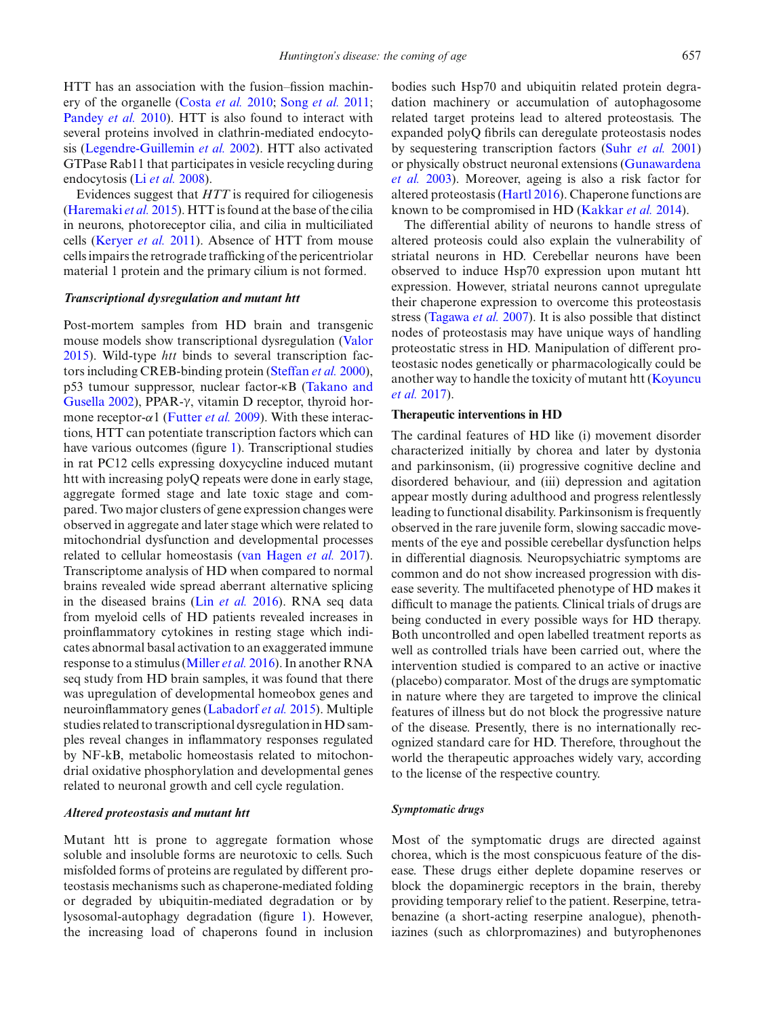HTT has an association with the fusion–fission machinery of the organelle [\(Costa](#page-11-29) *et al.* [2010](#page-11-29); [Song](#page-14-30) *et al.* [2011;](#page-14-30) [Pandey](#page-13-27) *et al.* [2010](#page-13-27)). HTT is also found to interact with several proteins involved in clathrin-mediated endocytosis [\(Legendre-Guillemin](#page-13-28) *et al.* [2002\)](#page-13-28). HTT also activated GTPase Rab11 that participates in vesicle recycling during endocytosis (Li *[et al.](#page-13-29)* [2008](#page-13-29)).

Evidences suggest that *HTT* is required for ciliogenesis [\(Haremaki](#page-12-26) *et al.* [2015\)](#page-12-26). HTT is found at the base of the cilia in neurons, photoreceptor cilia, and cilia in multiciliated cells [\(Keryer](#page-12-27) *et al.* [2011](#page-12-27)). Absence of HTT from mouse cells impairs the retrograde trafficking of the pericentriolar material 1 protein and the primary cilium is not formed.

## *Transcriptional dysregulation and mutant htt*

Post-mortem samples from HD brain and transgenic mouse models show transcriptional dysregulation [\(Valor](#page-15-22) [2015](#page-15-22)). Wild-type *htt* binds to several transcription factors including CREB-binding protein [\(Steffan](#page-14-31) *et al.* [2000](#page-14-31)), p53 tu[mour](#page-14-22) [suppressor,](#page-14-22) [nuclear](#page-14-22) [factor-](#page-14-22)κB (Takano and Gusella [2002](#page-14-22)), PPAR-γ, vitamin D receptor, thyroid hormone receptor- $\alpha$ 1 [\(Futter](#page-11-30) *et al.* [2009](#page-11-30)). With these interactions, HTT can potentiate transcription factors which can have various outcomes (figure [1\)](#page-6-0). Transcriptional studies in rat PC12 cells expressing doxycycline induced mutant htt with increasing polyQ repeats were done in early stage, aggregate formed stage and late toxic stage and compared. Two major clusters of gene expression changes were observed in aggregate and later stage which were related to mitochondrial dysfunction and developmental processes related to cellular homeostasis [\(van Hagen](#page-15-23) *et al.* [2017](#page-15-23)). Transcriptome analysis of HD when compared to normal brains revealed wide spread aberrant alternative splicing in the diseased brains (Lin *[et al.](#page-13-30)* [2016\)](#page-13-30). RNA seq data from myeloid cells of HD patients revealed increases in proinflammatory cytokines in resting stage which indicates abnormal basal activation to an exaggerated immune response to a stimulus [\(Miller](#page-13-31) *et al.* [2016\)](#page-13-31). In another RNA seq study from HD brain samples, it was found that there was upregulation of developmental homeobox genes and neuroinflammatory genes [\(Labadorf](#page-13-32) *et al.* [2015\)](#page-13-32). Multiple studies related to transcriptional dysregulation in HD samples reveal changes in inflammatory responses regulated by NF-kB, metabolic homeostasis related to mitochondrial oxidative phosphorylation and developmental genes related to neuronal growth and cell cycle regulation.

# *Altered proteostasis and mutant htt*

Mutant htt is prone to aggregate formation whose soluble and insoluble forms are neurotoxic to cells. Such misfolded forms of proteins are regulated by different proteostasis mechanisms such as chaperone-mediated folding or degraded by ubiquitin-mediated degradation or by lysosomal-autophagy degradation (figure [1\)](#page-6-0). However, the increasing load of chaperons found in inclusion

bodies such Hsp70 and ubiquitin related protein degradation machinery or accumulation of autophagosome related target proteins lead to altered proteostasis. The expanded polyQ fibrils can deregulate proteostasis nodes by sequestering transcription factors (Suhr *[et al.](#page-14-32)* [2001](#page-14-32)) or ph[ysically](#page-12-28) [obstruct](#page-12-28) [neuronal](#page-12-28) [extensions](#page-12-28) [\(](#page-12-28)Gunawardena *et al.* [2003](#page-12-28)). Moreover, ageing is also a risk factor for altered proteostasis [\(Hartl 2016](#page-12-29)). Chaperone functions are known to be compromised in HD [\(Kakkar](#page-12-30) *et al.* [2014](#page-12-30)).

The differential ability of neurons to handle stress of altered proteosis could also explain the vulnerability of striatal neurons in HD. Cerebellar neurons have been observed to induce Hsp70 expression upon mutant htt expression. However, striatal neurons cannot upregulate their chaperone expression to overcome this proteostasis stress [\(Tagawa](#page-14-33) *et al.* [2007](#page-14-33)). It is also possible that distinct nodes of proteostasis may have unique ways of handling proteostatic stress in HD. Manipulation of different proteostasic nodes genetically or pharmacologically could be anot[her](#page-12-31) [way](#page-12-31) [to](#page-12-31) [handle](#page-12-31) [the](#page-12-31) [toxicity](#page-12-31) [of](#page-12-31) [mutant](#page-12-31) [htt](#page-12-31) [\(](#page-12-31)Koyuncu *et al.* [2017](#page-12-31)).

# **Therapeutic interventions in HD**

The cardinal features of HD like (i) movement disorder characterized initially by chorea and later by dystonia and parkinsonism, (ii) progressive cognitive decline and disordered behaviour, and (iii) depression and agitation appear mostly during adulthood and progress relentlessly leading to functional disability. Parkinsonism is frequently observed in the rare juvenile form, slowing saccadic movements of the eye and possible cerebellar dysfunction helps in differential diagnosis. Neuropsychiatric symptoms are common and do not show increased progression with disease severity. The multifaceted phenotype of HD makes it difficult to manage the patients. Clinical trials of drugs are being conducted in every possible ways for HD therapy. Both uncontrolled and open labelled treatment reports as well as controlled trials have been carried out, where the intervention studied is compared to an active or inactive (placebo) comparator. Most of the drugs are symptomatic in nature where they are targeted to improve the clinical features of illness but do not block the progressive nature of the disease. Presently, there is no internationally recognized standard care for HD. Therefore, throughout the world the therapeutic approaches widely vary, according to the license of the respective country.

## *Symptomatic drugs*

Most of the symptomatic drugs are directed against chorea, which is the most conspicuous feature of the disease. These drugs either deplete dopamine reserves or block the dopaminergic receptors in the brain, thereby providing temporary relief to the patient. Reserpine, tetrabenazine (a short-acting reserpine analogue), phenothiazines (such as chlorpromazines) and butyrophenones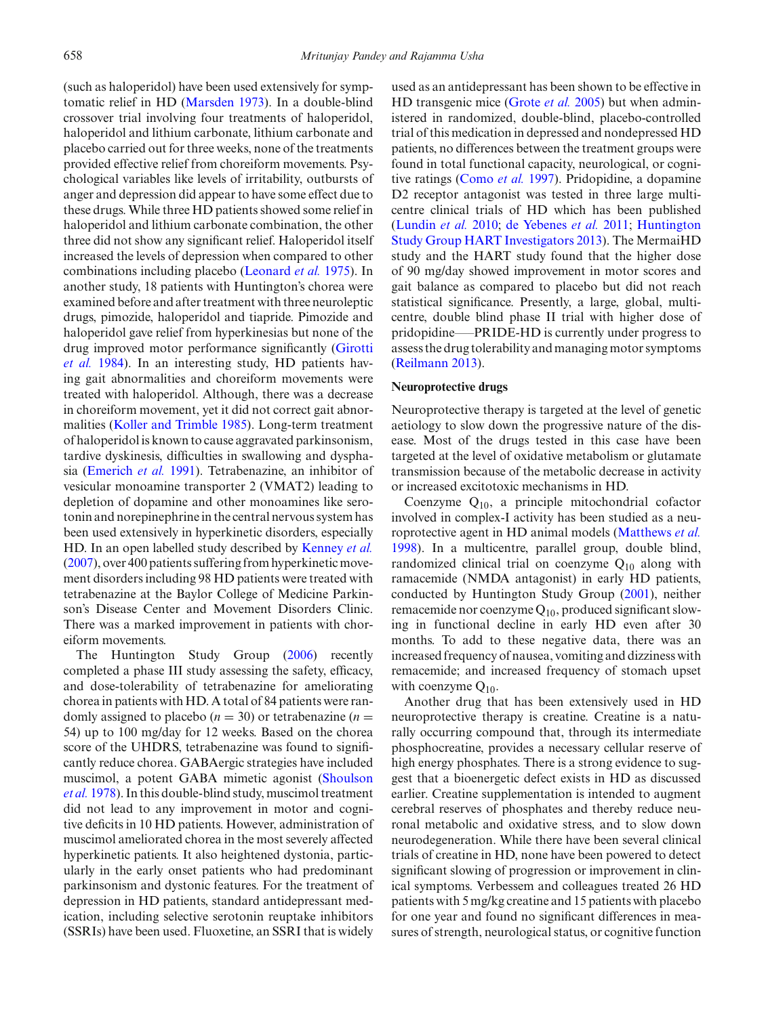(such as haloperidol) have been used extensively for symptomatic relief in HD [\(Marsden 1973\)](#page-13-33). In a double-blind crossover trial involving four treatments of haloperidol, haloperidol and lithium carbonate, lithium carbonate and placebo carried out for three weeks, none of the treatments provided effective relief from choreiform movements. Psychological variables like levels of irritability, outbursts of anger and depression did appear to have some effect due to these drugs. While three HD patients showed some relief in haloperidol and lithium carbonate combination, the other three did not show any significant relief. Haloperidol itself increased the levels of depression when compared to other combinations including placebo [\(Leonard](#page-13-34) *et al.* [1975](#page-13-34)). In another study, 18 patients with Huntington's chorea were examined before and after treatment with three neuroleptic drugs, pimozide, haloperidol and tiapride. Pimozide and haloperidol gave relief from hyperkinesias but none of the drug [improved](#page-12-32) [motor](#page-12-32) [performance](#page-12-32) [significantly](#page-12-32) [\(](#page-12-32)Girotti *et al.* [1984](#page-12-32)). In an interesting study, HD patients having gait abnormalities and choreiform movements were treated with haloperidol. Although, there was a decrease in choreiform movement, yet it did not correct gait abnormalities [\(Koller and Trimble 1985](#page-12-33)). Long-term treatment of haloperidol is known to cause aggravated parkinsonism, tardive dyskinesis, difficulties in swallowing and dysphasia [\(Emerich](#page-11-31) *et al.* [1991](#page-11-31)). Tetrabenazine, an inhibitor of vesicular monoamine transporter 2 (VMAT2) leading to depletion of dopamine and other monoamines like serotonin and norepinephrine in the central nervous system has been used extensively in hyperkinetic disorders, especially HD. In an open labelled study described by [Kenney](#page-12-34) *et al.* [\(2007\)](#page-12-34), over 400 patients suffering from hyperkinetic movement disorders including 98 HD patients were treated with tetrabenazine at the Baylor College of Medicine Parkinson's Disease Center and Movement Disorders Clinic. There was a marked improvement in patients with choreiform movements.

The Huntington Study Group [\(2006](#page-12-35)) recently completed a phase III study assessing the safety, efficacy, and dose-tolerability of tetrabenazine for ameliorating chorea in patients with HD. A total of 84 patients were randomly assigned to placebo  $(n = 30)$  or tetrabenazine  $(n = 10)$ 54) up to 100 mg/day for 12 weeks. Based on the chorea score of the UHDRS, tetrabenazine was found to significantly reduce chorea. GABAergic strategies have included mus[cimol,](#page-14-34) [a](#page-14-34) [potent](#page-14-34) [GABA](#page-14-34) [mimetic](#page-14-34) [agonist](#page-14-34) [\(](#page-14-34)Shoulson *et al.* [1978](#page-14-34)). In this double-blind study, muscimol treatment did not lead to any improvement in motor and cognitive deficits in 10 HD patients. However, administration of muscimol ameliorated chorea in the most severely affected hyperkinetic patients. It also heightened dystonia, particularly in the early onset patients who had predominant parkinsonism and dystonic features. For the treatment of depression in HD patients, standard antidepressant medication, including selective serotonin reuptake inhibitors (SSRIs) have been used. Fluoxetine, an SSRI that is widely

used as an antidepressant has been shown to be effective in HD transgenic mice [\(Grote](#page-12-36) *et al.* [2005\)](#page-12-36) but when administered in randomized, double-blind, placebo-controlled trial of this medication in depressed and nondepressed HD patients, no differences between the treatment groups were found in total functional capacity, neurological, or cognitive ratings [\(Como](#page-11-32) *et al.* [1997](#page-11-32)). Pridopidine, a dopamine D<sub>2</sub> receptor antagonist was tested in three large multicentre clinical trials of HD which has been published [\(Lundin](#page-13-35) *et al.* [2010](#page-13-35); [de Yebenes](#page-11-33) *et al.* [2011](#page-11-33)[;](#page-12-37) Huntington Study Group HART Investigators [2013](#page-12-37)). The MermaiHD study and the HART study found that the higher dose of 90 mg/day showed improvement in motor scores and gait balance as compared to placebo but did not reach statistical significance. Presently, a large, global, multicentre, double blind phase II trial with higher dose of pridopidine—–PRIDE-HD is currently under progress to assess the drug tolerability and managing motor symptoms [\(Reilmann 2013](#page-14-35)).

# **Neuroprotective drugs**

Neuroprotective therapy is targeted at the level of genetic aetiology to slow down the progressive nature of the disease. Most of the drugs tested in this case have been targeted at the level of oxidative metabolism or glutamate transmission because of the metabolic decrease in activity or increased excitotoxic mechanisms in HD.

Coenzyme  $Q_{10}$ , a principle mitochondrial cofactor involved in complex-I activity has been studied as a neuroprotective agent in HD animal models [\(Matthews](#page-13-36) *et al.* [1998](#page-13-36)). In a multicentre, parallel group, double blind, randomized clinical trial on coenzyme  $Q_{10}$  along with ramacemide (NMDA antagonist) in early HD patients, conducted by Huntington Study Group [\(2001\)](#page-12-38), neither remacemide nor coenzyme  $Q_{10}$ , produced significant slowing in functional decline in early HD even after 30 months. To add to these negative data, there was an increased frequency of nausea, vomiting and dizziness with remacemide; and increased frequency of stomach upset with coenzyme  $Q_{10}$ .

Another drug that has been extensively used in HD neuroprotective therapy is creatine. Creatine is a naturally occurring compound that, through its intermediate phosphocreatine, provides a necessary cellular reserve of high energy phosphates. There is a strong evidence to suggest that a bioenergetic defect exists in HD as discussed earlier. Creatine supplementation is intended to augment cerebral reserves of phosphates and thereby reduce neuronal metabolic and oxidative stress, and to slow down neurodegeneration. While there have been several clinical trials of creatine in HD, none have been powered to detect significant slowing of progression or improvement in clinical symptoms. Verbessem and colleagues treated 26 HD patients with 5 mg/kg creatine and 15 patients with placebo for one year and found no significant differences in measures of strength, neurological status, or cognitive function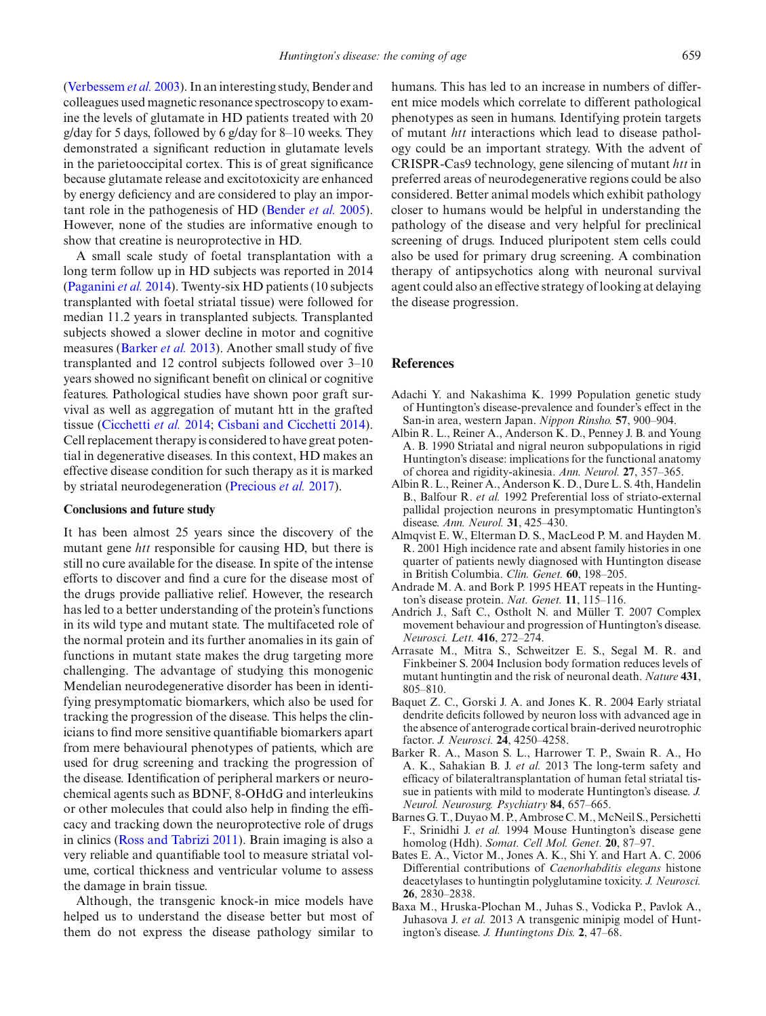[\(Verbessem](#page-15-24) *et al.* [2003\)](#page-15-24). In an interesting study, Bender and colleagues used magnetic resonance spectroscopy to examine the levels of glutamate in HD patients treated with 20 g/day for 5 days, followed by 6 g/day for 8–10 weeks. They demonstrated a significant reduction in glutamate levels in the parietooccipital cortex. This is of great significance because glutamate release and excitotoxicity are enhanced by energy deficiency and are considered to play an important role in the pathogenesis of HD [\(Bender](#page-11-34) *et al.* [2005](#page-11-34)). However, none of the studies are informative enough to show that creatine is neuroprotective in HD.

A small scale study of foetal transplantation with a long term follow up in HD subjects was reported in 2014 [\(Paganini](#page-13-37) *et al.* [2014](#page-13-37)). Twenty-six HD patients (10 subjects transplanted with foetal striatal tissue) were followed for median 11.2 years in transplanted subjects. Transplanted subjects showed a slower decline in motor and cognitive measures [\(Barker](#page-10-11) *et al.* [2013\)](#page-10-11). Another small study of five transplanted and 12 control subjects followed over 3–10 years showed no significant benefit on clinical or cognitive features. Pathological studies have shown poor graft survival as well as aggregation of mutant htt in the grafted tissue [\(Cicchetti](#page-11-35) *et al.* [2014;](#page-11-35) [Cisbani and Cicchetti 2014](#page-11-36)). Cell replacement therapy is considered to have great potential in degenerative diseases. In this context, HD makes an effective disease condition for such therapy as it is marked by striatal neurodegeneration [\(Precious](#page-13-38) *et al.* [2017](#page-13-38)).

# **Conclusions and future study**

It has been almost 25 years since the discovery of the mutant gene *htt* responsible for causing HD, but there is still no cure available for the disease. In spite of the intense efforts to discover and find a cure for the disease most of the drugs provide palliative relief. However, the research has led to a better understanding of the protein's functions in its wild type and mutant state. The multifaceted role of the normal protein and its further anomalies in its gain of functions in mutant state makes the drug targeting more challenging. The advantage of studying this monogenic Mendelian neurodegenerative disorder has been in identifying presymptomatic biomarkers, which also be used for tracking the progression of the disease. This helps the clinicians to find more sensitive quantifiable biomarkers apart from mere behavioural phenotypes of patients, which are used for drug screening and tracking the progression of the disease. Identification of peripheral markers or neurochemical agents such as BDNF, 8-OHdG and interleukins or other molecules that could also help in finding the efficacy and tracking down the neuroprotective role of drugs in clinics [\(Ross and Tabrizi 2011](#page-14-36)). Brain imaging is also a very reliable and quantifiable tool to measure striatal volume, cortical thickness and ventricular volume to assess the damage in brain tissue.

Although, the transgenic knock-in mice models have helped us to understand the disease better but most of them do not express the disease pathology similar to humans. This has led to an increase in numbers of different mice models which correlate to different pathological phenotypes as seen in humans. Identifying protein targets of mutant *htt* interactions which lead to disease pathology could be an important strategy. With the advent of CRISPR-Cas9 technology, gene silencing of mutant *htt* in preferred areas of neurodegenerative regions could be also considered. Better animal models which exhibit pathology closer to humans would be helpful in understanding the pathology of the disease and very helpful for preclinical screening of drugs. Induced pluripotent stem cells could also be used for primary drug screening. A combination therapy of antipsychotics along with neuronal survival agent could also an effective strategy of looking at delaying the disease progression.

# **References**

- <span id="page-10-3"></span>Adachi Y. and Nakashima K. 1999 Population genetic study of Huntington's disease-prevalence and founder's effect in the San-in area, western Japan. *Nippon Rinsho.* **57**, 900–904.
- <span id="page-10-5"></span>Albin R. L., Reiner A., Anderson K. D., Penney J. B. and Young A. B. 1990 Striatal and nigral neuron subpopulations in rigid Huntington's disease: implications for the functional anatomy of chorea and rigidity-akinesia. *Ann. Neurol.* **27**, 357–365.
- <span id="page-10-6"></span>Albin R. L., Reiner A., Anderson K. D., Dure L. S. 4th, Handelin B., Balfour R. *et al.* 1992 Preferential loss of striato-external pallidal projection neurons in presymptomatic Huntington's disease. *Ann. Neurol.* **31**, 425–430.
- <span id="page-10-2"></span>Almqvist E. W., Elterman D. S., MacLeod P. M. and Hayden M. R. 2001 High incidence rate and absent family histories in one quarter of patients newly diagnosed with Huntington disease in British Columbia. *Clin. Genet.* **60**, 198–205.
- <span id="page-10-8"></span>Andrade M. A. and Bork P. 1995 HEAT repeats in the Huntington's disease protein. *Nat. Genet.* **11**, 115–116.
- <span id="page-10-4"></span>Andrich J., Saft C., Ostholt N. and Müller T. 2007 Complex movement behaviour and progression of Huntington's disease. *Neurosci. Lett.* **416**, 272–274.
- <span id="page-10-10"></span>Arrasate M., Mitra S., Schweitzer E. S., Segal M. R. and Finkbeiner S. 2004 Inclusion body formation reduces levels of mutant huntingtin and the risk of neuronal death. *Nature* **431**, 805–810.
- <span id="page-10-7"></span>Baquet Z. C., Gorski J. A. and Jones K. R. 2004 Early striatal dendrite deficits followed by neuron loss with advanced age in the absence of anterograde cortical brain-derived neurotrophic factor. *J. Neurosci.* **24**, 4250–4258.
- <span id="page-10-11"></span>Barker R. A., Mason S. L., Harrower T. P., Swain R. A., Ho A. K., Sahakian B. J. *et al.* 2013 The long-term safety and efficacy of bilateraltransplantation of human fetal striatal tissue in patients with mild to moderate Huntington's disease. *J. Neurol. Neurosurg. Psychiatry* **84**, 657–665.
- <span id="page-10-9"></span>Barnes G. T., Duyao M. P., Ambrose C. M., McNeil S., Persichetti F., Srinidhi J. *et al.* 1994 Mouse Huntington's disease gene homolog (Hdh). *Somat. Cell Mol. Genet.* **20**, 87–97.
- <span id="page-10-0"></span>Bates E. A., Victor M., Jones A. K., Shi Y. and Hart A. C. 2006 Differential contributions of *Caenorhabditis elegans* histone deacetylases to huntingtin polyglutamine toxicity. *J. Neurosci.* **26**, 2830–2838.
- <span id="page-10-1"></span>Baxa M., Hruska-Plochan M., Juhas S., Vodicka P., Pavlok A., Juhasova J. *et al.* 2013 A transgenic minipig model of Huntington's disease. *J. Huntingtons Dis.* **2**, 47–68.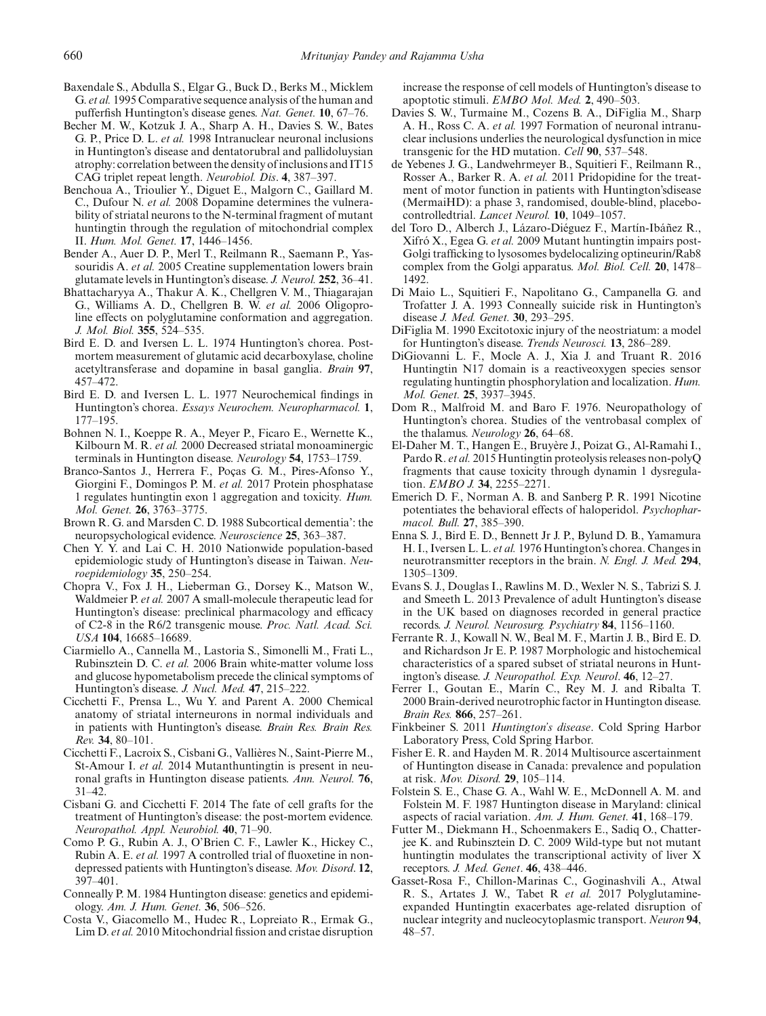- <span id="page-11-20"></span>Baxendale S., Abdulla S., Elgar G., Buck D., Berks M., Micklem G. *et al.* 1995 Comparative sequence analysis of the human and pufferfish Huntington's disease genes. *Nat. Genet.* **10**, 67–76.
- <span id="page-11-12"></span>Becher M. W., Kotzuk J. A., Sharp A. H., Davies S. W., Bates G. P., Price D. L. *et al.* 1998 Intranuclear neuronal inclusions in Huntington's disease and dentatorubral and pallidoluysian atrophy: correlation between the density of inclusions and IT15 CAG triplet repeat length. *Neurobiol. Dis*. **4**, 387–397.
- <span id="page-11-15"></span>Benchoua A., Trioulier Y., Diguet E., Malgorn C., Gaillard M. C., Dufour N. *et al.* 2008 Dopamine determines the vulnerability of striatal neurons to the N-terminal fragment of mutant huntingtin through the regulation of mitochondrial complex II. *Hum. Mol. Genet.* **17**, 1446–1456.
- <span id="page-11-34"></span>Bender A., Auer D. P., Merl T., Reilmann R., Saemann P., Yassouridis A. *et al.* 2005 Creatine supplementation lowers brain glutamate levels in Huntington's disease. *J. Neurol.* **252**, 36–41.
- <span id="page-11-23"></span>Bhattacharyya A., Thakur A. K., Chellgren V. M., Thiagarajan G., Williams A. D., Chellgren B. W. *et al.* 2006 Oligoproline effects on polyglutamine conformation and aggregation. *J. Mol. Biol.* **355**, 524–535.
- <span id="page-11-13"></span>Bird E. D. and Iversen L. L. 1974 Huntington's chorea. Postmortem measurement of glutamic acid decarboxylase, choline acetyltransferase and dopamine in basal ganglia. *Brain* **97**, 457–472.
- <span id="page-11-16"></span>Bird E. D. and Iversen L. L. 1977 Neurochemical findings in Huntington's chorea. *Essays Neurochem. Neuropharmacol.* **1**, 177–195.
- <span id="page-11-17"></span>Bohnen N. I., Koeppe R. A., Meyer P., Ficaro E., Wernette K., Kilbourn M. R. *et al.* 2000 Decreased striatal monoaminergic terminals in Huntington disease. *Neurology* **54**, 1753–1759.
- <span id="page-11-24"></span>Branco-Santos J., Herrera F., Poças G. M., Pires-Afonso Y., Giorgini F., Domingos P. M. *et al.* 2017 Protein phosphatase 1 regulates huntingtin exon 1 aggregation and toxicity*. Hum. Mol. Genet.* **26**, 3763–3775.
- <span id="page-11-5"></span>Brown R. G. and Marsden C. D. 1988 Subcortical dementia': the neuropsychological evidence. *Neuroscience* **25**, 363–387.
- <span id="page-11-4"></span>Chen Y. Y. and Lai C. H. 2010 Nationwide population-based epidemiologic study of Huntington's disease in Taiwan. *Neuroepidemiology* **35**, 250–254.
- <span id="page-11-22"></span>Chopra V., Fox J. H., Lieberman G., Dorsey K., Matson W., Waldmeier P. *et al.* 2007 A small-molecule therapeutic lead for Huntington's disease: preclinical pharmacology and efficacy of C2-8 in the R6/2 transgenic mouse. *Proc. Natl. Acad. Sci. USA* **104**, 16685–16689.
- <span id="page-11-9"></span>Ciarmiello A., Cannella M., Lastoria S., Simonelli M., Frati L., Rubinsztein D. C. *et al.* 2006 Brain white-matter volume loss and glucose hypometabolism precede the clinical symptoms of Huntington's disease. *J. Nucl. Med.* **47**, 215–222.
- <span id="page-11-8"></span>Cicchetti F., Prensa L., Wu Y. and Parent A. 2000 Chemical anatomy of striatal interneurons in normal individuals and in patients with Huntington's disease. *Brain Res. Brain Res. Rev.* **34**, 80–101.
- <span id="page-11-35"></span>Cicchetti F., Lacroix S., Cisbani G., Vallières N., Saint-Pierre M., St-Amour I. *et al.* 2014 Mutanthuntingtin is present in neuronal grafts in Huntington disease patients. *Ann. Neurol.* **76**, 31–42.
- <span id="page-11-36"></span>Cisbani G. and Cicchetti F. 2014 The fate of cell grafts for the treatment of Huntington's disease: the post-mortem evidence. *Neuropathol. Appl. Neurobiol.* **40**, 71–90.
- <span id="page-11-32"></span>Como P. G., Rubin A. J., O'Brien C. F., Lawler K., Hickey C., Rubin A. E. *et al.* 1997 A controlled trial of fluoxetine in nondepressed patients with Huntington's disease. *Mov. Disord*. **12**, 397–401.
- <span id="page-11-3"></span>Conneally P. M. 1984 Huntington disease: genetics and epidemiology. *Am. J. Hum. Genet.* **36**, 506–526.
- <span id="page-11-29"></span>Costa V., Giacomello M., Hudec R., Lopreiato R., Ermak G., Lim D. *et al.* 2010 Mitochondrial fission and cristae disruption

increase the response of cell models of Huntington's disease to apoptotic stimuli. *EMBO Mol. Med.* **2**, 490–503.

- <span id="page-11-11"></span>Davies S. W., Turmaine M., Cozens B. A., DiFiglia M., Sharp A. H., Ross C. A. *et al.* 1997 Formation of neuronal intranuclear inclusions underlies the neurological dysfunction in mice transgenic for the HD mutation. *Cell* **90**, 537–548.
- <span id="page-11-33"></span>de Yebenes J. G., Landwehrmeyer B., Squitieri F., Reilmann R., Rosser A., Barker R. A. *et al.* 2011 Pridopidine for the treatment of motor function in patients with Huntington'sdisease (MermaiHD): a phase 3, randomised, double-blind, placebocontrolledtrial. *Lancet Neurol.* **10**, 1049–1057.
- <span id="page-11-28"></span>del Toro D., Alberch J., Lázaro-Diéguez F., Martín-Ibáñez R., Xifró X., Egea G. *et al.* 2009 Mutant huntingtin impairs post-Golgi trafficking to lysosomes bydelocalizing optineurin/Rab8 complex from the Golgi apparatus. *Mol. Biol. Cell.* **20**, 1478– 1492.
- <span id="page-11-6"></span>Di Maio L., Squitieri F., Napolitano G., Campanella G. and Trofatter J. A. 1993 Conneally suicide risk in Huntington's disease *J. Med. Genet.* **30**, 293–295.
- <span id="page-11-14"></span>DiFiglia M. 1990 Excitotoxic injury of the neostriatum: a model for Huntington's disease. *Trends Neurosci.* **13**, 286–289.
- <span id="page-11-25"></span>DiGiovanni L. F., Mocle A. J., Xia J. and Truant R. 2016 Huntingtin N17 domain is a reactiveoxygen species sensor regulating huntingtin phosphorylation and localization. *Hum. Mol. Genet.* **25**, 3937–3945.
- <span id="page-11-10"></span>Dom R., Malfroid M. and Baro F. 1976. Neuropathology of Huntington's chorea. Studies of the ventrobasal complex of the thalamus. *Neurology* **26**, 64–68.
- <span id="page-11-27"></span>El-Daher M. T., Hangen E., Bruyère J., Poizat G., Al-Ramahi I., Pardo R. *et al.* 2015 Huntingtin proteolysis releases non-polyQ fragments that cause toxicity through dynamin 1 dysregulation. *EMBO J.* **34**, 2255–2271.
- <span id="page-11-31"></span>Emerich D. F., Norman A. B. and Sanberg P. R. 1991 Nicotine potentiates the behavioral effects of haloperidol. *Psychopharmacol. Bull.* **27**, 385–390.
- <span id="page-11-18"></span>Enna S. J., Bird E. D., Bennett Jr J. P., Bylund D. B., Yamamura H. I., Iversen L. L. *et al.* 1976 Huntington's chorea. Changes in neurotransmitter receptors in the brain. *N. Engl. J. Med.* **294**, 1305–1309.
- <span id="page-11-0"></span>Evans S. J., Douglas I., Rawlins M. D., Wexler N. S., Tabrizi S. J. and Smeeth L. 2013 Prevalence of adult Huntington's disease in the UK based on diagnoses recorded in general practice records. *J. Neurol. Neurosurg. Psychiatry* **84**, 1156–1160.
- <span id="page-11-7"></span>Ferrante R. J., Kowall N. W., Beal M. F., Martin J. B., Bird E. D. and Richardson Jr E. P. 1987 Morphologic and histochemical characteristics of a spared subset of striatal neurons in Huntington's disease. *J. Neuropathol. Exp. Neurol*. **46**, 12–27.
- <span id="page-11-19"></span>Ferrer I., Goutan E., Marín C., Rey M. J. and Ribalta T. 2000 Brain-derived neurotrophic factor in Huntington disease. *Brain Res.* **866**, 257–261.
- <span id="page-11-21"></span>Finkbeiner S. 2011 *Huntington's disease*. Cold Spring Harbor Laboratory Press, Cold Spring Harbor.
- <span id="page-11-2"></span>Fisher E. R. and Hayden M. R. 2014 Multisource ascertainment of Huntington disease in Canada: prevalence and population at risk. *Mov. Disord.* **29**, 105–114.
- <span id="page-11-1"></span>Folstein S. E., Chase G. A., Wahl W. E., McDonnell A. M. and Folstein M. F. 1987 Huntington disease in Maryland: clinical aspects of racial variation. *Am. J. Hum. Genet.* **41**, 168–179.
- <span id="page-11-30"></span>Futter M., Diekmann H., Schoenmakers E., Sadiq O., Chatterjee K. and Rubinsztein D. C. 2009 Wild-type but not mutant huntingtin modulates the transcriptional activity of liver X receptors. *J. Med. Genet*. **46**, 438–446.
- <span id="page-11-26"></span>Gasset-Rosa F., Chillon-Marinas C., Goginashvili A., Atwal R. S., Artates J. W., Tabet R *et al.* 2017 Polyglutamineexpanded Huntingtin exacerbates age-related disruption of nuclear integrity and nucleocytoplasmic transport. *Neuron* **94**, 48–57.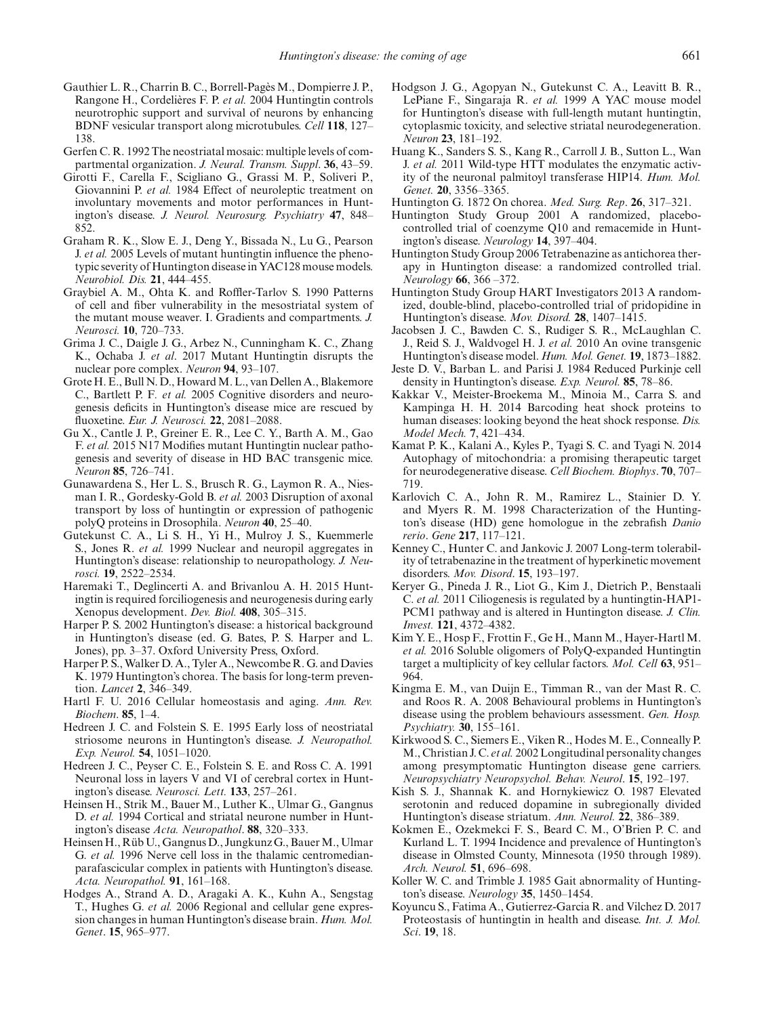- <span id="page-12-25"></span>Gauthier L. R., Charrin B. C., Borrell-Pagès M., Dompierre J. P., Rangone H., Cordelières F. P. *et al.* 2004 Huntingtin controls neurotrophic support and survival of neurons by enhancing BDNF vesicular transport along microtubules. *Cell* **118**, 127– 138.
- <span id="page-12-11"></span>Gerfen C. R. 1992 The neostriatal mosaic: multiple levels of compartmental organization. *J. Neural. Transm. Suppl*. **36**, 43–59.
- <span id="page-12-32"></span>Girotti F., Carella F., Scigliano G., Grassi M. P., Soliveri P., Giovannini P. *et al.* 1984 Effect of neuroleptic treatment on involuntary movements and motor performances in Huntington's disease. *J. Neurol. Neurosurg. Psychiatry* **47**, 848– 852.
- <span id="page-12-18"></span>Graham R. K., Slow E. J., Deng Y., Bissada N., Lu G., Pearson J. *et al.* 2005 Levels of mutant huntingtin influence the phenotypic severity of Huntington disease in YAC128 mouse models. *Neurobiol. Dis.* **21**, 444–455.
- <span id="page-12-8"></span>Graybiel A. M., Ohta K. and Roffler-Tarlov S. 1990 Patterns of cell and fiber vulnerability in the mesostriatal system of the mutant mouse weaver. I. Gradients and compartments. *J. Neurosci.* **10**, 720–733.
- <span id="page-12-21"></span>Grima J. C., Daigle J. G., Arbez N., Cunningham K. C., Zhang K., Ochaba J. *et al*. 2017 Mutant Huntingtin disrupts the nuclear pore complex. *Neuron* **94**, 93–107.
- <span id="page-12-36"></span>Grote H. E., Bull N. D., Howard M. L., van Dellen A., Blakemore C., Bartlett P. F*. et al.* 2005 Cognitive disorders and neurogenesis deficits in Huntington's disease mice are rescued by fluoxetine. *Eur. J. Neurosci.* **22**, 2081–2088.
- <span id="page-12-20"></span>Gu X., Cantle J. P., Greiner E. R., Lee C. Y., Barth A. M., Gao F. *et al.* 2015 N17 Modifies mutant Huntingtin nuclear pathogenesis and severity of disease in HD BAC transgenic mice. *Neuron* **85**, 726–741.
- <span id="page-12-28"></span>Gunawardena S., Her L. S., Brusch R. G., Laymon R. A., Niesman I. R., Gordesky-Gold B. *et al.* 2003 Disruption of axonal transport by loss of huntingtin or expression of pathogenic polyQ proteins in Drosophila. *Neuron* **40**, 25–40.
- <span id="page-12-15"></span>Gutekunst C. A., Li S. H., Yi H., Mulroy J. S., Kuemmerle S., Jones R. *et al.* 1999 Nuclear and neuropil aggregates in Huntington's disease: relationship to neuropathology. *J. Neurosci.* **19**, 2522–2534.
- <span id="page-12-26"></span>Haremaki T., Deglincerti A. and Brivanlou A. H. 2015 Huntingtin is required forciliogenesis and neurogenesis during early Xenopus development. *Dev. Biol.* **408**, 305–315.
- <span id="page-12-1"></span>Harper P. S. 2002 Huntington's disease: a historical background in Huntington's disease (ed. G. Bates, P. S. Harper and L. Jones), pp. 3–37. Oxford University Press, Oxford.
- <span id="page-12-5"></span>Harper P. S., Walker D. A., Tyler A., Newcombe R. G. and Davies K. 1979 Huntington's chorea. The basis for long-term prevention. *Lancet* **2**, 346–349.
- <span id="page-12-29"></span>Hartl F. U. 2016 Cellular homeostasis and aging. *Ann. Rev. Biochem*. **85**, 1–4.
- <span id="page-12-9"></span>Hedreen J. C. and Folstein S. E. 1995 Early loss of neostriatal striosome neurons in Huntington's disease. *J. Neuropathol. Exp. Neurol.* **54**, 1051–1020.
- <span id="page-12-12"></span>Hedreen J. C., Peyser C. E., Folstein S. E. and Ross C. A. 1991 Neuronal loss in layers V and VI of cerebral cortex in Huntington's disease. *Neurosci. Lett.* **133**, 257–261.
- <span id="page-12-10"></span>Heinsen H., Strik M., Bauer M., Luther K., Ulmar G., Gangnus D. *et al.* 1994 Cortical and striatal neurone number in Huntington's disease *Acta. Neuropathol*. **88**, 320–333.
- <span id="page-12-13"></span>Heinsen H., Rüb U., Gangnus D., Jungkunz G., BauerM., Ulmar G. *et al.* 1996 Nerve cell loss in the thalamic centromedianparafascicular complex in patients with Huntington's disease. *Acta. Neuropathol.* **91**, 161–168.
- <span id="page-12-23"></span>Hodges A., Strand A. D., Aragaki A. K., Kuhn A., Sengstag T., Hughes G. *et al.* 2006 Regional and cellular gene expression changes in human Huntington's disease brain. *Hum. Mol. Genet*. **15**, 965–977.
- <span id="page-12-3"></span>Hodgson J. G., Agopyan N., Gutekunst C. A., Leavitt B. R., LePiane F., Singaraja R. *et al.* 1999 A YAC mouse model for Huntington's disease with full-length mutant huntingtin, cytoplasmic toxicity, and selective striatal neurodegeneration. *Neuron* **23**, 181–192.
- <span id="page-12-22"></span>Huang K., Sanders S. S., Kang R., Carroll J. B., Sutton L., Wan J. *et al.* 2011 Wild-type HTT modulates the enzymatic activity of the neuronal palmitoyl transferase HIP14. *Hum. Mol. Genet.* **20**, 3356–3365.
- <span id="page-12-0"></span>Huntington G. 1872 On chorea. *Med. Surg. Rep*. **26**, 317–321.
- <span id="page-12-38"></span>Huntington Study Group 2001 A randomized, placebocontrolled trial of coenzyme Q10 and remacemide in Huntington's disease. *Neurology* **14**, 397–404.
- <span id="page-12-35"></span>Huntington Study Group 2006 Tetrabenazine as antichorea therapy in Huntington disease: a randomized controlled trial. *Neurology* **66**, 366 –372.
- <span id="page-12-37"></span>Huntington Study Group HART Investigators 2013 A randomized, double-blind, placebo-controlled trial of pridopidine in Huntington's disease. *Mov. Disord.* **28**, 1407–1415.
- <span id="page-12-2"></span>Jacobsen J. C., Bawden C. S., Rudiger S. R., McLaughlan C. J., Reid S. J., Waldvogel H. J. *et al.* 2010 An ovine transgenic Huntington's disease model. *Hum. Mol. Genet.* **19**, 1873–1882.
- <span id="page-12-14"></span>Jeste D. V., Barban L. and Parisi J. 1984 Reduced Purkinje cell density in Huntington's disease. *Exp. Neurol.* **85**, 78–86.
- <span id="page-12-30"></span>Kakkar V., Meister-Broekema M., Minoia M., Carra S. and Kampinga H. H. 2014 Barcoding heat shock proteins to human diseases: looking beyond the heat shock response. *Dis. Model Mech.* **7**, 421–434.
- <span id="page-12-24"></span>Kamat P. K., Kalani A., Kyles P., Tyagi S. C. and Tyagi N. 2014 Autophagy of mitochondria: a promising therapeutic target for neurodegenerative disease. *Cell Biochem. Biophys*. **70**, 707– 719.
- <span id="page-12-17"></span>Karlovich C. A., John R. M., Ramirez L., Stainier D. Y. and Myers R. M. 1998 Characterization of the Huntington's disease (HD) gene homologue in the zebrafish *Danio rerio*. *Gene* **217**, 117–121.
- <span id="page-12-34"></span>Kenney C., Hunter C. and Jankovic J. 2007 Long-term tolerability of tetrabenazine in the treatment of hyperkinetic movement disorders. *Mov. Disord*. **15**, 193–197.
- <span id="page-12-27"></span>Keryer G., Pineda J. R., Liot G., Kim J., Dietrich P., Benstaali C. *et al.* 2011 Ciliogenesis is regulated by a huntingtin-HAP1- PCM1 pathway and is altered in Huntington disease. *J. Clin. Invest.* **121**, 4372–4382.
- <span id="page-12-19"></span>Kim Y. E., Hosp F., Frottin F., Ge H., Mann M., Hayer-Hartl M. *et al.* 2016 Soluble oligomers of PolyQ-expanded Huntingtin target a multiplicity of key cellular factors. *Mol. Cell* **63**, 951– 964.
- <span id="page-12-7"></span>Kingma E. M., van Duijn E., Timman R., van der Mast R. C. and Roos R. A. 2008 Behavioural problems in Huntington's disease using the problem behaviours assessment. *Gen. Hosp. Psychiatry.* **30**, 155–161.
- <span id="page-12-6"></span>Kirkwood S. C., Siemers E., Viken R., Hodes M. E., Conneally P. M., Christian J. C. *et al.* 2002 Longitudinal personality changes among presymptomatic Huntington disease gene carriers. *Neuropsychiatry Neuropsychol. Behav. Neurol*. **15**, 192–197.
- <span id="page-12-16"></span>Kish S. J., Shannak K. and Hornykiewicz O. 1987 Elevated serotonin and reduced dopamine in subregionally divided Huntington's disease striatum. *Ann. Neurol.* **22**, 386–389.
- <span id="page-12-4"></span>Kokmen E., Ozekmekci F. S., Beard C. M., O'Brien P. C. and Kurland L. T. 1994 Incidence and prevalence of Huntington's disease in Olmsted County, Minnesota (1950 through 1989). *Arch. Neurol.* **51**, 696–698.
- <span id="page-12-33"></span>Koller W. C. and Trimble J. 1985 Gait abnormality of Huntington's disease. *Neurology* **35**, 1450–1454.
- <span id="page-12-31"></span>Koyuncu S., Fatima A., Gutierrez-Garcia R. and Vilchez D. 2017 Proteostasis of huntingtin in health and disease. *Int. J. Mol. Sci*. **19**, 18.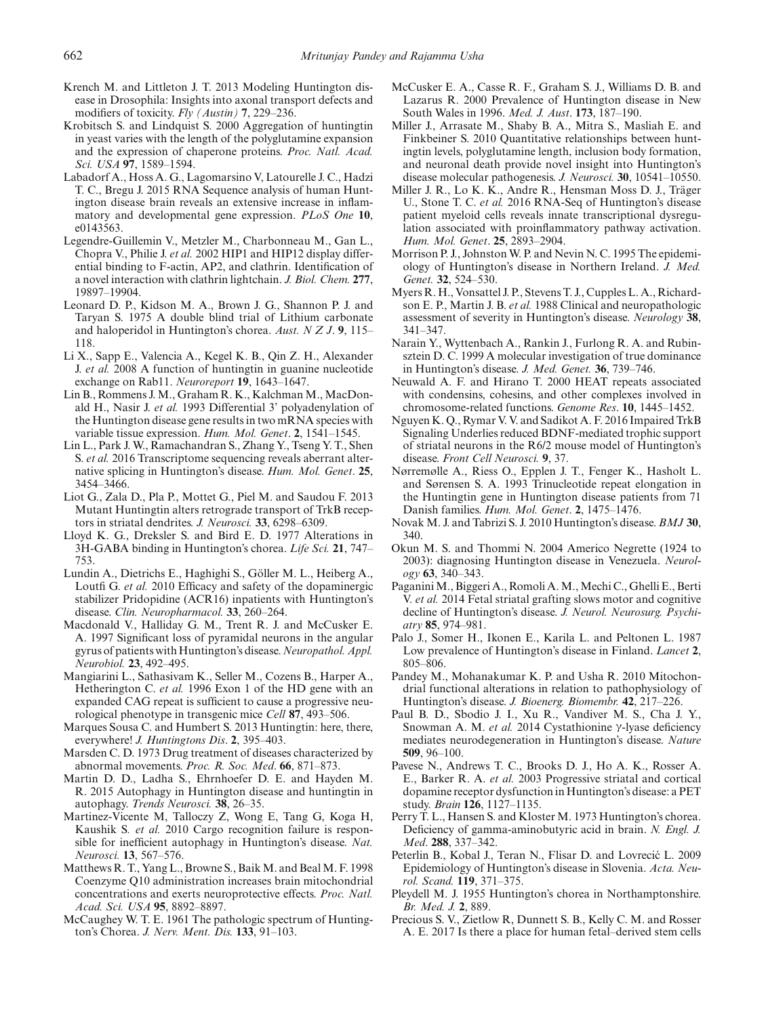- <span id="page-13-1"></span>Krench M. and Littleton J. T. 2013 Modeling Huntington disease in Drosophila: Insights into axonal transport defects and modifiers of toxicity. *Fly (Austin)* **7**, 229–236.
- <span id="page-13-23"></span>Krobitsch S. and Lindquist S. 2000 Aggregation of huntingtin in yeast varies with the length of the polyglutamine expansion and the expression of chaperone proteins. *Proc. Natl. Acad. Sci. USA* **97**, 1589–1594.
- <span id="page-13-32"></span>Labadorf A., Hoss A. G., Lagomarsino V, Latourelle J. C., Hadzi T. C., Bregu J. 2015 RNA Sequence analysis of human Huntington disease brain reveals an extensive increase in inflammatory and developmental gene expression. *PLoS One* **10**, e0143563.
- <span id="page-13-28"></span>Legendre-Guillemin V., Metzler M., Charbonneau M., Gan L., Chopra V., Philie J. *et al.* 2002 HIP1 and HIP12 display differential binding to F-actin, AP2, and clathrin. Identification of a novel interaction with clathrin lightchain. *J. Biol. Chem.* **277**, 19897–19904.
- <span id="page-13-34"></span>Leonard D. P., Kidson M. A., Brown J. G., Shannon P. J. and Taryan S. 1975 A double blind trial of Lithium carbonate and haloperidol in Huntington's chorea. *Aust. N Z J*. **9**, 115– 118.
- <span id="page-13-29"></span>Li X., Sapp E., Valencia A., Kegel K. B., Qin Z. H., Alexander J. *et al.* 2008 A function of huntingtin in guanine nucleotide exchange on Rab11. *Neuroreport* **19**, 1643–1647.
- <span id="page-13-19"></span>Lin B., Rommens J. M., Graham R. K., Kalchman M., MacDonald H., Nasir J. *et al.* 1993 Differential 3' polyadenylation of the Huntington disease gene results in two mRNA species with variable tissue expression. *Hum. Mol. Genet*. **2**, 1541–1545.
- <span id="page-13-30"></span>Lin L., Park J. W., Ramachandran S., Zhang Y., Tseng Y. T., Shen S. *et al.* 2016 Transcriptome sequencing reveals aberrant alternative splicing in Huntington's disease. *Hum. Mol. Genet*. **25**, 3454–3466.
- <span id="page-13-26"></span>Liot G., Zala D., Pla P., Mottet G., Piel M. and Saudou F. 2013 Mutant Huntingtin alters retrograde transport of TrkB receptors in striatal dendrites. *J. Neurosci.* **33**, 6298–6309.
- <span id="page-13-14"></span>Lloyd K. G., Dreksler S. and Bird E. D. 1977 Alterations in 3H-GABA binding in Huntington's chorea. *Life Sci.* **21**, 747– 753.
- <span id="page-13-35"></span>Lundin A., Dietrichs E., Haghighi S., Göller M. L., Heiberg A., Loutfi G. *et al.* 2010 Efficacy and safety of the dopaminergic stabilizer Pridopidine (ACR16) inpatients with Huntington's disease. *Clin. Neuropharmacol.* **33**, 260–264.
- <span id="page-13-11"></span>Macdonald V., Halliday G. M., Trent R. J. and McCusker E. A. 1997 Significant loss of pyramidal neurons in the angular gyrus of patients with Huntington's disease.*Neuropathol. Appl. Neurobiol.* **23**, 492–495.
- <span id="page-13-2"></span>Mangiarini L., Sathasivam K., Seller M., Cozens B., Harper A., Hetherington C. *et al.* 1996 Exon 1 of the HD gene with an expanded CAG repeat is sufficient to cause a progressive neurological phenotype in transgenic mice *Cell* **87**, 493–506.
- <span id="page-13-20"></span>Marques Sousa C. and Humbert S. 2013 Huntingtin: here, there, everywhere! *J. Huntingtons Dis*. **2**, 395–403.
- <span id="page-13-33"></span>Marsden C. D. 1973 Drug treatment of diseases characterized by abnormal movements. *Proc. R. Soc. Med*. **66**, 871–873.
- <span id="page-13-24"></span>Martin D. D., Ladha S., Ehrnhoefer D. E. and Hayden M. R. 2015 Autophagy in Huntington disease and huntingtin in autophagy. *Trends Neurosci.* **38**, 26–35.
- <span id="page-13-25"></span>Martinez-Vicente M, Talloczy Z, Wong E, Tang G, Koga H, Kaushik S*. et al.* 2010 Cargo recognition failure is responsible for inefficient autophagy in Huntington's disease. *Nat. Neurosci.* **13**, 567–576.
- <span id="page-13-36"></span>Matthews R. T., Yang L., Browne S., Baik M. and Beal M. F. 1998 Coenzyme Q10 administration increases brain mitochondrial concentrations and exerts neuroprotective effects. *Proc. Natl. Acad. Sci. USA* **95**, 8892–8897.
- <span id="page-13-12"></span>McCaughey W. T. E. 1961 The pathologic spectrum of Huntington's Chorea. *J. Nerv. Ment. Dis.* **133**, 91–103.
- <span id="page-13-6"></span>McCusker E. A., Casse R. F., Graham S. J., Williams D. B. and Lazarus R. 2000 Prevalence of Huntington disease in New South Wales in 1996. *Med. J. Aust*. **173**, 187–190.
- <span id="page-13-22"></span>Miller J., Arrasate M., Shaby B. A., Mitra S., Masliah E. and Finkbeiner S. 2010 Quantitative relationships between huntingtin levels, polyglutamine length, inclusion body formation, and neuronal death provide novel insight into Huntington's disease molecular pathogenesis. *J. Neurosci.* **30**, 10541–10550.
- <span id="page-13-31"></span>Miller J. R., Lo K. K., Andre R., Hensman Moss D. J., Träger U., Stone T. C. *et al.* 2016 RNA-Seq of Huntington's disease patient myeloid cells reveals innate transcriptional dysregulation associated with proinflammatory pathway activation. *Hum. Mol. Genet*. **25**, 2893–2904.
- <span id="page-13-8"></span>Morrison P. J., Johnston W. P. and Nevin N. C. 1995 The epidemiology of Huntington's disease in Northern Ireland. *J. Med. Genet.* **32**, 524–530.
- <span id="page-13-10"></span>Myers R. H., Vonsattel J. P., Stevens T. J., Cupples L. A., Richardson E. P., Martin J. B. *et al.* 1988 Clinical and neuropathologic assessment of severity in Huntington's disease. *Neurology* **38**, 341–347.
- <span id="page-13-21"></span>Narain Y., Wyttenbach A., Rankin J., Furlong R. A. and Rubinsztein D. C. 1999 A molecular investigation of true dominance in Huntington's disease. *J. Med. Genet.* **36**, 739–746.
- <span id="page-13-18"></span>Neuwald A. F. and Hirano T. 2000 HEAT repeats associated with condensins, cohesins, and other complexes involved in chromosome-related functions. *Genome Res*. **10**, 1445–1452.
- <span id="page-13-16"></span>Nguyen K. Q., Rymar V. V. and Sadikot A. F. 2016 Impaired TrkB Signaling Underlies reduced BDNF-mediated trophic support of striatal neurons in the R6/2 mouse model of Huntington's disease. *Front Cell Neurosci.* **9**, 37.
- <span id="page-13-0"></span>Nørremølle A., Riess O., Epplen J. T., Fenger K., Hasholt L. and Sørensen S. A. 1993 Trinucleotide repeat elongation in the Huntingtin gene in Huntington disease patients from 71 Danish families. *Hum. Mol. Genet*. **2**, 1475–1476.
- <span id="page-13-9"></span>Novak M. J. and Tabrizi S. J. 2010 Huntington's disease. *BMJ* **30**, 340.
- <span id="page-13-3"></span>Okun M. S. and Thommi N. 2004 Americo Negrette (1924 to 2003): diagnosing Huntington disease in Venezuela. *Neurology* **63**, 340–343.
- <span id="page-13-37"></span>Paganini M., Biggeri A., Romoli A.M., Mechi C., Ghelli E., Berti V. *et al.* 2014 Fetal striatal grafting slows motor and cognitive decline of Huntington's disease. *J. Neurol. Neurosurg. Psychiatry* **85**, 974–981.
- <span id="page-13-5"></span>Palo J., Somer H., Ikonen E., Karila L. and Peltonen L. 1987 Low prevalence of Huntington's disease in Finland. *Lancet* **2**, 805–806.
- <span id="page-13-27"></span>Pandey M., Mohanakumar K. P. and Usha R. 2010 Mitochondrial functional alterations in relation to pathophysiology of Huntington's disease. *J. Bioenerg. Biomembr.* **42**, 217–226.
- <span id="page-13-17"></span>Paul B. D., Sbodio J. I., Xu R., Vandiver M. S., Cha J. Y., Snowman A. M. *et al.* 2014 Cystathionine γ-lyase deficiency mediates neurodegeneration in Huntington's disease. *Nature* **509**, 96–100.
- <span id="page-13-15"></span>Pavese N., Andrews T. C., Brooks D. J., Ho A. K., Rosser A. E., Barker R. A. *et al.* 2003 Progressive striatal and cortical dopamine receptor dysfunction in Huntington's disease: a PET study. *Brain* **126**, 1127–1135.
- <span id="page-13-13"></span>Perry T. L., Hansen S. and Kloster M. 1973 Huntington's chorea. Deficiency of gamma-aminobutyric acid in brain. *N. Engl. J. Med*. **288**, 337–342.
- <span id="page-13-7"></span>Peterlin B., Kobal J., Teran N., Flisar D. and Lovrecić L. 2009 Epidemiology of Huntington's disease in Slovenia. *Acta. Neurol. Scand.* **119**, 371–375.
- <span id="page-13-4"></span>Pleydell M. J. 1955 Huntington's chorea in Northamptonshire. *Br. Med. J.* **2**, 889.
- <span id="page-13-38"></span>Precious S. V., Zietlow R, Dunnett S. B., Kelly C. M. and Rosser A. E. 2017 Is there a place for human fetal–derived stem cells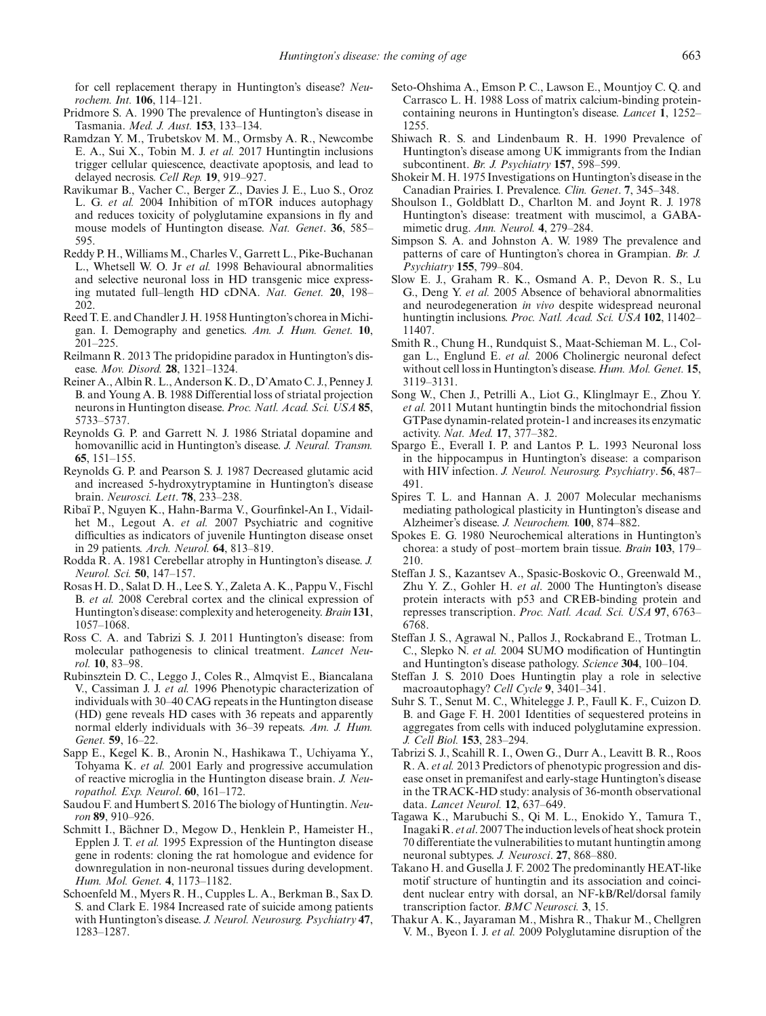for cell replacement therapy in Huntington's disease? *Neurochem. Int.* **106**, 114–121.

- <span id="page-14-7"></span>Pridmore S. A. 1990 The prevalence of Huntington's disease in Tasmania. *Med. J. Aust.* **153**, 133–134.
- <span id="page-14-25"></span>Ramdzan Y. M., Trubetskov M. M., Ormsby A. R., Newcombe E. A., Sui X., Tobin M. J. *et al.* 2017 Huntingtin inclusions trigger cellular quiescence, deactivate apoptosis, and lead to delayed necrosis. *Cell Rep.* **19**, 919–927.
- <span id="page-14-29"></span>Ravikumar B., Vacher C., Berger Z., Davies J. E., Luo S., Oroz L. G. *et al.* 2004 Inhibition of mTOR induces autophagy and reduces toxicity of polyglutamine expansions in fly and mouse models of Huntington disease. *Nat. Genet*. **36**, 585– 595.
- <span id="page-14-3"></span>Reddy P. H., Williams M., Charles V., Garrett L., Pike-Buchanan L., Whetsell W. O. Jr *et al.* 1998 Behavioural abnormalities and selective neuronal loss in HD transgenic mice expressing mutated full–length HD cDNA. *Nat. Genet.* **20**, 198– 202.
- <span id="page-14-4"></span>Reed T. E. and Chandler J. H. 1958 Huntington's chorea in Michigan. I. Demography and genetics. *Am. J. Hum. Genet.* **10**, 201–225.
- <span id="page-14-35"></span>Reilmann R. 2013 The pridopidine paradox in Huntington's disease. *Mov. Disord.* **28**, 1321–1324.
- <span id="page-14-12"></span>Reiner A., Albin R. L., Anderson K. D., D'Amato C. J., Penney J. B. and Young A. B. 1988 Differential loss of striatal projection neurons in Huntington disease. *Proc. Natl. Acad. Sci. USA* **85**, 5733–5737.
- <span id="page-14-19"></span>Reynolds G. P. and Garrett N. J. 1986 Striatal dopamine and homovanillic acid in Huntington's disease. *J. Neural. Transm.* **65**, 151–155.
- <span id="page-14-17"></span>Reynolds G. P. and Pearson S. J. 1987 Decreased glutamic acid and increased 5-hydroxytryptamine in Huntington's disease brain. *Neurosci. Lett*. **78**, 233–238.
- <span id="page-14-9"></span>Ribaï P., Nguyen K., Hahn-Barma V., Gourfinkel-An I., Vidailhet M., Legout A. *et al.* 2007 Psychiatric and cognitive difficulties as indicators of juvenile Huntington disease onset in 29 patients. *Arch. Neurol.* **64**, 813–819.
- <span id="page-14-15"></span>Rodda R. A. 1981 Cerebellar atrophy in Huntington's disease. *J. Neurol. Sci.* **50**, 147–157.
- <span id="page-14-13"></span>Rosas H. D., Salat D. H., Lee S. Y., Zaleta A. K., Pappu V., Fischl B. *et al.* 2008 Cerebral cortex and the clinical expression of Huntington's disease: complexity and heterogeneity.*Brain* **131**, 1057–1068.
- <span id="page-14-36"></span>Ross C. A. and Tabrizi S. J. 2011 Huntington's disease: from molecular pathogenesis to clinical treatment. *Lancet Neurol.* **10**, 83–98.
- <span id="page-14-1"></span>Rubinsztein D. C., Leggo J., Coles R., Almqvist E., Biancalana V., Cassiman J. J. *et al.* 1996 Phenotypic characterization of individuals with 30–40 CAG repeats in the Huntington disease (HD) gene reveals HD cases with 36 repeats and apparently normal elderly individuals with 36–39 repeats. *Am. J. Hum. Genet.* **59**, 16–22.
- <span id="page-14-16"></span>Sapp E., Kegel K. B., Aronin N., Hashikawa T., Uchiyama Y., Tohyama K. *et al.* 2001 Early and progressive accumulation of reactive microglia in the Huntington disease brain. *J. Neuropathol. Exp. Neurol*. **60**, 161–172.
- <span id="page-14-21"></span>Saudou F. and Humbert S. 2016 The biology of Huntingtin. *Neuron* **89**, 910–926.
- <span id="page-14-23"></span>Schmitt I., Bächner D., Megow D., Henklein P., Hameister H., Epplen J. T. *et al.* 1995 Expression of the Huntington disease gene in rodents: cloning the rat homologue and evidence for downregulation in non-neuronal tissues during development. *Hum. Mol. Genet.* **4**, 1173–1182.
- <span id="page-14-10"></span>Schoenfeld M., Myers R. H., Cupples L. A., Berkman B., Sax D. S. and Clark E. 1984 Increased rate of suicide among patients with Huntington's disease. *J. Neurol. Neurosurg. Psychiatry* **47**, 1283–1287.
- <span id="page-14-11"></span>Seto-Ohshima A., Emson P. C., Lawson E., Mountjoy C. Q. and Carrasco L. H. 1988 Loss of matrix calcium-binding proteincontaining neurons in Huntington's disease. *Lancet* **1**, 1252– 1255.
- <span id="page-14-8"></span>Shiwach R. S. and Lindenbaum R. H. 1990 Prevalence of Huntington's disease among UK immigrants from the Indian subcontinent. *Br. J. Psychiatry* **157**, 598–599.
- <span id="page-14-5"></span>Shokeir M. H. 1975 Investigations on Huntington's disease in the Canadian Prairies. I. Prevalence. *Clin. Genet*. **7**, 345–348.
- <span id="page-14-34"></span>Shoulson I., Goldblatt D., Charlton M. and Joynt R. J. 1978 Huntington's disease: treatment with muscimol, a GABAmimetic drug. *Ann. Neurol.* **4**, 279–284.
- <span id="page-14-6"></span>Simpson S. A. and Johnston A. W. 1989 The prevalence and patterns of care of Huntington's chorea in Grampian. *Br. J. Psychiatry* **155**, 799–804.
- <span id="page-14-24"></span>Slow E. J., Graham R. K., Osmand A. P., Devon R. S., Lu G., Deng Y. *et al.* 2005 Absence of behavioral abnormalities and neurodegeneration *in vivo* despite widespread neuronal huntingtin inclusions. *Proc. Natl. Acad. Sci. USA* **102**, 11402– 11407.
- <span id="page-14-20"></span>Smith R., Chung H., Rundquist S., Maat-Schieman M. L., Colgan L., Englund E. *et al.* 2006 Cholinergic neuronal defect without cell loss in Huntington's disease. *Hum. Mol. Genet.* **15**, 3119–3131.
- <span id="page-14-30"></span>Song W., Chen J., Petrilli A., Liot G., Klinglmayr E., Zhou Y. *et al.* 2011 Mutant huntingtin binds the mitochondrial fission GTPase dynamin-related protein-1 and increases its enzymatic activity. *Nat. Med.* **17**, 377–382.
- <span id="page-14-14"></span>Spargo E., Everall I. P. and Lantos P. L. 1993 Neuronal loss in the hippocampus in Huntington's disease: a comparison with HIV infection. *J. Neurol. Neurosurg. Psychiatry*. **56**, 487– 491.
- <span id="page-14-0"></span>Spires T. L. and Hannan A. J. 2007 Molecular mechanisms mediating pathological plasticity in Huntington's disease and Alzheimer's disease. *J. Neurochem.* **100**, 874–882.
- <span id="page-14-18"></span>Spokes E. G. 1980 Neurochemical alterations in Huntington's chorea: a study of post–mortem brain tissue. *Brain* **103**, 179– 210.
- <span id="page-14-31"></span>Steffan J. S., Kazantsev A., Spasic-Boskovic O., Greenwald M., Zhu Y. Z., Gohler H. *et al*. 2000 The Huntington's disease protein interacts with p53 and CREB-binding protein and represses transcription. *Proc. Natl. Acad. Sci. USA* **97**, 6763– 6768.
- <span id="page-14-26"></span>Steffan J. S., Agrawal N., Pallos J., Rockabrand E., Trotman L. C., Slepko N. *et al.* 2004 SUMO modification of Huntingtin and Huntington's disease pathology. *Science* **304**, 100–104.
- <span id="page-14-28"></span>Steffan J. S. 2010 Does Huntingtin play a role in selective macroautophagy? *Cell Cycle* **9**, 3401–341.
- <span id="page-14-32"></span>Suhr S. T., Senut M. C., Whitelegge J. P., Faull K. F., Cuizon D. B. and Gage F. H. 2001 Identities of sequestered proteins in aggregates from cells with induced polyglutamine expression. *J. Cell Biol.* **153**, 283–294.
- <span id="page-14-2"></span>Tabrizi S. J., Scahill R. I., Owen G., Durr A., Leavitt B. R., Roos R. A. *et al.* 2013 Predictors of phenotypic progression and disease onset in premanifest and early-stage Huntington's disease in the TRACK-HD study: analysis of 36-month observational data. *Lancet Neurol.* **12**, 637–649.
- <span id="page-14-33"></span>Tagawa K., Marubuchi S., Qi M. L., Enokido Y., Tamura T., Inagaki R. *et al*. 2007 The induction levels of heat shock protein 70 differentiate the vulnerabilities to mutant huntingtin among neuronal subtypes. *J. Neurosci*. **27**, 868–880.
- <span id="page-14-22"></span>Takano H. and Gusella J. F. 2002 The predominantly HEAT-like motif structure of huntingtin and its association and coincident nuclear entry with dorsal, an NF-kB/Rel/dorsal family transcription factor. *BMC Neurosci.* **3**, 15.
- <span id="page-14-27"></span>Thakur A. K., Jayaraman M., Mishra R., Thakur M., Chellgren V. M., Byeon I. J. *et al.* 2009 Polyglutamine disruption of the